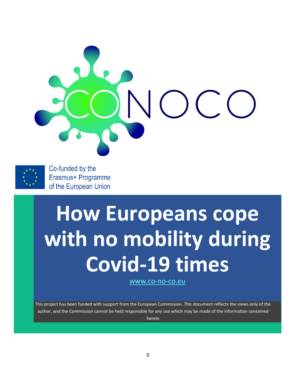



Co-funded by the Erasmus+ Programme of the European Union

# **How Europeans cope with no mobility during Covid-19 times**

[www.co-no-co.eu](http://www.co-no-co.eu/)

This project has been funded with support from the European Commission. This document reflects the views only of the author, and the Commission cannot be held responsible for any use which may be made of the information contained herein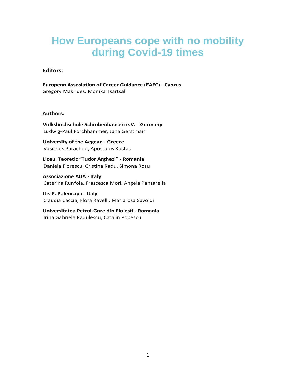#### **How Europeans cope with no mobility during Covid-19 times**

#### **Editors**:

**European Assosiation of Career Guidance (EAEC)** - **Cyprus** Gregory Makrides, Monika Tsartsali

#### **Authors:**

**Volkshochschule Schrobenhausen e.V.** - **Germany** Ludwig-Paul Forchhammer, Jana Gerstmair

**University of the Aegean - Greece** Vasileios Parachou, Apostolos Kostas

**Liceul Teoretic "Tudor Arghezi" - Romania** Daniela Florescu, Cristina Radu, Simona Rosu

**Associazione ADA - Italy** Caterina Runfola, Frascesca Mori, Angela Panzarella

**Itis P. Paleocapa - Italy** Claudia Caccia, Flora Ravelli, Mariarosa Savoldi

**Universitatea Petrol-Gaze din Ploiesti - Romania** Irina Gabriela Radulescu, Catalin Popescu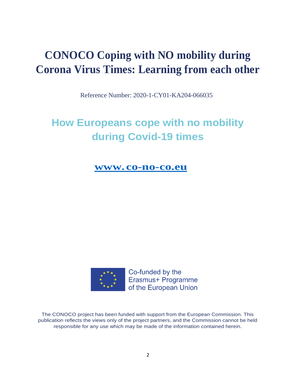## **CONOCO Coping with NO mobility during Corona Virus Times: Learning from each other**

Reference Number: 2020-1-CY01-KA204-066035

## **How Europeans cope with no mobility during Covid-19 times**

**[www.co-no-co.eu](https://co-no-co.eu/)**



Co-funded by the Erasmus+ Programme of the European Union

The CONOCO project has been funded with support from the European Commission. This publication reflects the views only of the project partners, and the Commission cannot be held responsible for any use which may be made of the information contained herein.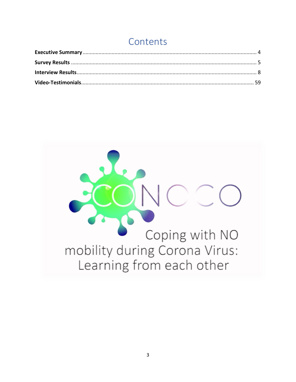### Contents

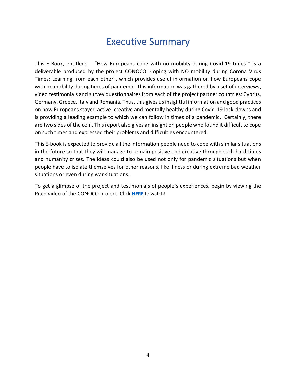#### Executive Summary

<span id="page-4-0"></span>This E-Book, entitled: "How Europeans cope with no mobility during Covid-19 times " is a deliverable produced by the project CONOCO: Coping with NO mobility during Corona Virus Times: Learning from each other", which provides useful information on how Europeans cope with no mobility during times of pandemic. This information was gathered by a set of interviews, video testimonials and survey questionnaires from each of the project partner countries: Cyprus, Germany, Greece, Italy and Romania. Thus, this gives us insightful information and good practices on how Europeans stayed active, creative and mentally healthy during Covid-19 lock-downs and is providing a leading example to which we can follow in times of a pandemic. Certainly, there are two sides of the coin. This report also gives an insight on people who found it difficult to cope on such times and expressed their problems and difficulties encountered.

This E-book is expected to provide all the information people need to cope with similar situations in the future so that they will manage to remain positive and creative through such hard times and humanity crises. The ideas could also be used not only for pandemic situations but when people have to isolate themselves for other reasons, like illness or during extreme bad weather situations or even during war situations.

To get a glimpse of the project and testimonials of people's experiences, begin by viewing the Pitch video of the CONOCO project. Click **[HERE](https://www.youtube.com/watch?v=9e6ZtlJVm8U)** to watch!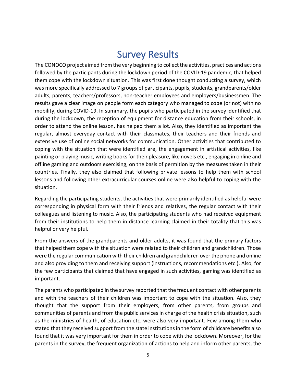#### Survey Results

<span id="page-5-0"></span>The CONOCO project aimed from the very beginning to collect the activities, practices and actions followed by the participants during the lockdown period of the COVID-19 pandemic, that helped them cope with the lockdown situation. This was first done thought conducting a survey, which was more specifically addressed to 7 groups of participants, pupils, students, grandparents/older adults, parents, teachers/professors, non-teacher employees and employers/businessmen. The results gave a clear image on people form each category who managed to cope (or not) with no mobility, during COVID-19. In summary, the pupils who participated in the survey identified that during the lockdown, the reception of equipment for distance education from their schools, in order to attend the online lesson, has helped them a lot. Also, they identified as important the regular, almost everyday contact with their classmates, their teachers and their friends and extensive use of online social networks for communication. Other activities that contributed to coping with the situation that were identified are, the engagement in artistical activities, like painting or playing music, writing books for their pleasure, like novels etc., engaging in online and offline gaming and outdoors exercising, on the basis of permition by the measures taken in their countries. Finally, they also claimed that following private lessons to help them with school lessons and following other extracurricular courses online were also helpful to coping with the situation.

Regarding the participating students, the activities that were primarily identified as helpful were corresponding in physical form with their friends and relatives, the regular contact with their colleagues and listening to music. Also, the participating students who had received equipment from their institutions to help them in distance learning claimed in their totality that this was helpful or very helpful.

From the answers of the grandparents and older adults, it was found that the primary factors that helped them cope with the situation were related to their children and grandchildren. Those were the regular communication with their children and grandchildren over the phone and online and also providing to them and receiving support (instructions, recommendations etc.). Also, for the few participants that claimed that have engaged in such activities, gaming was identified as important.

The parents who participated in the survey reported that the frequent contact with other parents and with the teachers of their children was important to cope with the situation. Also, they thought that the support from their employers, from other parents, from groups and communities of parents and from the public services in charge of the health crisis situation, such as the ministries of health, of education etc. were also very important. Few among them who stated that they received support from the state institutions in the form of childcare benefits also found that it was very important for them in order to cope with the lockdown. Moreover, for the parents in the survey, the frequent organization of actions to help and inform other parents, the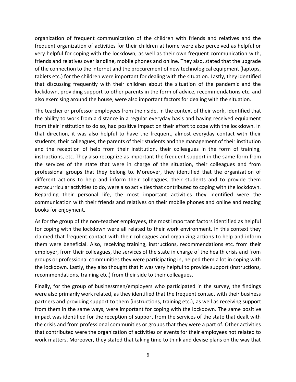organization of frequent communication of the children with friends and relatives and the frequent organization of activities for their children at home were also perceived as helpful or very helpful for coping with the lockdown, as well as their own frequent communication with, friends and relatives over landline, mobile phones and online. They also, stated that the upgrade of the connection to the internet and the procurement of new technological equipment (laptops, tablets etc.) for the children were important for dealing with the situation. Lastly, they identified that discussing frequently with their children about the situation of the pandemic and the lockdown, providing support to other parents in the form of advice, recommendations etc. and also exercising around the house, were also important factors for dealing with the situation.

The teacher or professor employees from their side, in the context of their work, identified that the ability to work from a distance in a regular everyday basis and having received equipment from their institution to do so, had positive impact on their effort to cope with the lockdown. In that direction, it was also helpful to have the frequent, almost everyday contact with their students, their colleagues, the parents of their students and the management of their institution and the reception of help from their institution, their colleagues in the form of training, instructions, etc. They also recognize as important the frequent support in the same form from the services of the state that were in charge of the situation, their colleagues and from professional groups that they belong to. Moreover, they identified that the organization of different actions to help and inform their colleagues, their students and to provide them extracurricular activities to do, were also activities that contributed to coping with the lockdown. Regarding their personal life, the most important activities they identified were the communication with their friends and relatives on their mobile phones and online and reading books for enjoyment.

As for the group of the non-teacher employees, the most important factors identified as helpful for coping with the lockdown were all related to their work environment. In this context they claimed that frequent contact with their colleagues and organizing actions to help and inform them were beneficial. Also, receiving training, instructions, recommendations etc. from their employer, from their colleagues, the services of the state in charge of the health crisis and from groups or professional communities they were participating in, helped them a lot in coping with the lockdown. Lastly, they also thought that it was very helpful to provide support (instructions, recommendations, training etc.) from their side to their colleagues.

Finally, for the group of businessmen/employers who participated in the survey, the findings were also primarily work related, as they identified that the frequent contact with their business partners and providing support to them (instructions, training etc.), as well as receiving support from them in the same ways, were important for coping with the lockdown. The same positive impact was identified for the reception of support from the services of the state that dealt with the crisis and from professional communities or groups that they were a part of. Other activities that contributed were the organization of activities or events for their employees not related to work matters. Moreover, they stated that taking time to think and devise plans on the way that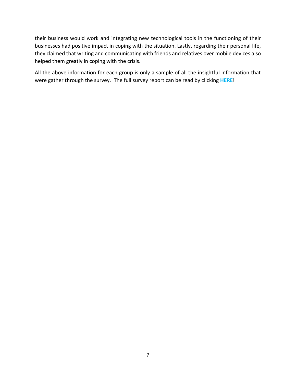their business would work and integrating new technological tools in the functioning of their businesses had positive impact in coping with the situation. Lastly, regarding their personal life, they claimed that writing and communicating with friends and relatives over mobile devices also helped them greatly in coping with the crisis.

All the above information for each group is only a sample of all the insightful information that were gather through the survey. The full survey report can be read by clicking **[HERE](https://co-no-co.eu/wp-content/uploads/2022/02/CONOCO_-Full-Survey-Report-of-Results_-FINAL.pdf)**!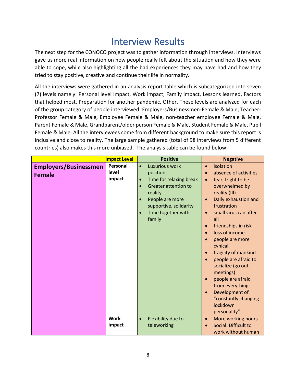### Interview Results

<span id="page-8-0"></span>The next step for the CONOCO project was to gather information through interviews. Interviews gave us more real information on how people really felt about the situation and how they were able to cope, while also highlighting all the bad experiences they may have had and how they tried to stay positive, creative and continue their life in normality.

All the interviews were gathered in an analysis report table which is subcategorized into seven (7) levels namely: Personal level impact, Work impact, Family impact, Lessons learned, Factors that helped most, Preparation for another pandemic, Other. These levels are analyzed for each of the group category of people interviewed: Employers/Businessmen-Female & Male, Teacher-Professor Female & Male, Employee Female & Male, non-teacher employee Female & Male, Parent Female & Male, Grandparent/older person Female & Male, Student Female & Male, Pupil Female & Male. All the interviewees come from different background to make sure this report is inclusive and close to reality. The large sample gathered (total of 98 interviews from 5 different countries) also makes this more unbiased. The analysis table can be found below:

|                                               | <b>Impact Level</b>         | <b>Positive</b>                                                                                                                                                                                                                               | <b>Negative</b>                                                                                                                                                                                                                                                                                                                                                                                                                                                                                                                                                               |
|-----------------------------------------------|-----------------------------|-----------------------------------------------------------------------------------------------------------------------------------------------------------------------------------------------------------------------------------------------|-------------------------------------------------------------------------------------------------------------------------------------------------------------------------------------------------------------------------------------------------------------------------------------------------------------------------------------------------------------------------------------------------------------------------------------------------------------------------------------------------------------------------------------------------------------------------------|
| <b>Employers/Businessmen</b><br><b>Female</b> | Personal<br>level<br>impact | Luxurious work<br>$\bullet$<br>position<br>Time for relaxing break<br>$\bullet$<br><b>Greater attention to</b><br>$\bullet$<br>reality<br>People are more<br>$\bullet$<br>supportive, solidarity<br>Time together with<br>$\bullet$<br>family | isolation<br>$\bullet$<br>absence of activities<br>$\bullet$<br>fear, fright to be<br>$\bullet$<br>overwhelmed by<br>reality (III)<br>Daily exhaustion and<br>$\bullet$<br>frustration<br>small virus can affect<br>$\bullet$<br>all<br>friendships in risk<br>$\bullet$<br>loss of income<br>$\bullet$<br>people are more<br>$\bullet$<br>cynical<br>fragility of mankind<br>$\bullet$<br>people are afraid to<br>socialize (go out,<br>meetings)<br>people are afraid<br>$\bullet$<br>from everything<br>Development of<br>"constantly changing<br>lockdown<br>personality" |
|                                               | <b>Work</b><br>impact       | Flexibility due to<br>$\bullet$<br>teleworking                                                                                                                                                                                                | More working hours<br>$\bullet$<br>Social: Difficult to<br>work without human                                                                                                                                                                                                                                                                                                                                                                                                                                                                                                 |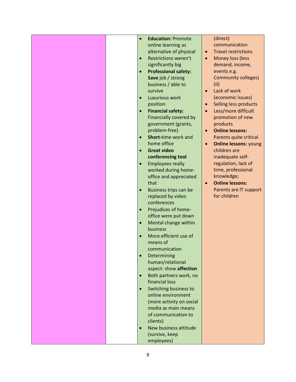|  | $\bullet$ | <b>Education: Promote</b>         |           | (direct)                         |
|--|-----------|-----------------------------------|-----------|----------------------------------|
|  |           | online learning as                |           | communication                    |
|  |           | alternative of physical           | $\bullet$ | <b>Travel restrictions</b>       |
|  | $\bullet$ | Restrictions weren't              | $\bullet$ | Money loss (less                 |
|  |           | significantly big                 |           | demand, income,                  |
|  | $\bullet$ | <b>Professional safety:</b>       |           | events e.g.                      |
|  |           | Save job / strong                 |           | <b>Community colleges)</b>       |
|  |           | business / able to                |           | (11)                             |
|  |           | survive                           | $\bullet$ | Lack of work                     |
|  | $\bullet$ | <b>Luxurious work</b>             |           | (economic issues)                |
|  |           | position                          | $\bullet$ | Selling less products            |
|  | $\bullet$ | <b>Financial safety:</b>          | $\bullet$ | Less/more difficult              |
|  |           | Financially covered by            |           | promotion of new                 |
|  |           | government (grants,               |           | products                         |
|  |           | problem-free)                     | $\bullet$ | <b>Online lessons:</b>           |
|  | $\bullet$ | Short-time work and               |           | Parents quite critical           |
|  |           | home office                       | $\bullet$ | <b>Online lessons: young</b>     |
|  | $\bullet$ | <b>Great video</b>                |           | children are                     |
|  |           | conferencing tool                 |           | inadequate self-                 |
|  | $\bullet$ | <b>Employees really</b>           |           | regulation, lack of              |
|  |           | worked during home-               |           | time, professional<br>knowledge; |
|  |           | office and appreciated            | $\bullet$ | <b>Online lessons:</b>           |
|  | $\bullet$ | that<br>Business trips can be     |           | Parents are IT support           |
|  |           | replaced by video                 |           | for children                     |
|  |           | conferences                       |           |                                  |
|  | $\bullet$ | Prejudices of home-               |           |                                  |
|  |           | office were put down              |           |                                  |
|  | $\bullet$ | Mental change within              |           |                                  |
|  |           | business                          |           |                                  |
|  | $\bullet$ | More efficient use of             |           |                                  |
|  |           | means of                          |           |                                  |
|  |           | communication                     |           |                                  |
|  | $\bullet$ | Determining                       |           |                                  |
|  |           | human/relational                  |           |                                  |
|  |           | aspect: show affection            |           |                                  |
|  | $\bullet$ | Both partners work, no            |           |                                  |
|  |           | financial loss                    |           |                                  |
|  | $\bullet$ | Switching business to             |           |                                  |
|  |           | online environment                |           |                                  |
|  |           | (more activity on social          |           |                                  |
|  |           | media as main means               |           |                                  |
|  |           | of communication to               |           |                                  |
|  | $\bullet$ | clients)<br>New business attitude |           |                                  |
|  |           | (survive, keep                    |           |                                  |
|  |           | employees)                        |           |                                  |
|  |           |                                   |           |                                  |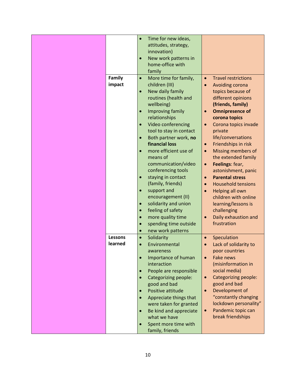| Time for new ideas,<br>$\bullet$                                                        |  |
|-----------------------------------------------------------------------------------------|--|
| attitudes, strategy,                                                                    |  |
| innovation)                                                                             |  |
| New work patterns in<br>$\bullet$                                                       |  |
| home-office with                                                                        |  |
| family                                                                                  |  |
| Family<br>More time for family,<br><b>Travel restrictions</b><br>$\bullet$<br>$\bullet$ |  |
| impact<br>children (III)<br>Avoiding corona<br>$\bullet$                                |  |
| New daily family<br>topics because of<br>$\bullet$                                      |  |
| routines (health and<br>different opinions                                              |  |
| wellbeing)<br>(friends, family)                                                         |  |
| <b>Omnipresence of</b><br>Improving family<br>$\bullet$                                 |  |
| relationships<br>corona topics                                                          |  |
| Video conferencing<br>Corona topics invade<br>$\bullet$                                 |  |
| tool to stay in contact<br>private                                                      |  |
| life/conversations<br>Both partner work, no                                             |  |
| financial loss<br>Friendships in risk<br>$\bullet$                                      |  |
| more efficient use of                                                                   |  |
| Missing members of<br>$\bullet$<br>$\bullet$<br>means of<br>the extended family         |  |
|                                                                                         |  |
| communication/video<br>Feelings: fear,<br>$\bullet$                                     |  |
| conferencing tools<br>astonishment, panic                                               |  |
| staying in contact<br><b>Parental stress</b><br>$\bullet$                               |  |
| (family, friends)<br><b>Household tensions</b><br>$\bullet$                             |  |
| support and<br>Helping all own<br>$\bullet$<br>$\bullet$                                |  |
| encouragement (II)<br>children with online                                              |  |
| solidarity and union<br>learning/lessons is                                             |  |
| feeling of safety<br>challenging                                                        |  |
| Daily exhaustion and<br>more quality time<br>$\bullet$<br>$\bullet$                     |  |
| frustration<br>spending time outside                                                    |  |
| new work patterns<br>$\bullet$                                                          |  |
| <b>Lessons</b><br>Solidarity<br>Speculation<br>$\bullet$<br>$\bullet$                   |  |
| learned<br>Lack of solidarity to<br>Environmental                                       |  |
| poor countries<br>awareness                                                             |  |
| Importance of human<br>Fake news<br>$\bullet$<br>$\bullet$                              |  |
| interaction<br>(misinformation in                                                       |  |
| social media)<br>People are responsible                                                 |  |
| Categorizing people:<br>Categorizing people:<br>$\bullet$                               |  |
| good and bad<br>good and bad                                                            |  |
| Positive attitude<br>Development of<br>$\bullet$                                        |  |
| "constantly changing<br>Appreciate things that                                          |  |
| lockdown personality"<br>were taken for granted                                         |  |
| Pandemic topic can<br>Be kind and appreciate<br>$\bullet$                               |  |
| break friendships<br>what we have                                                       |  |
| Spent more time with                                                                    |  |
|                                                                                         |  |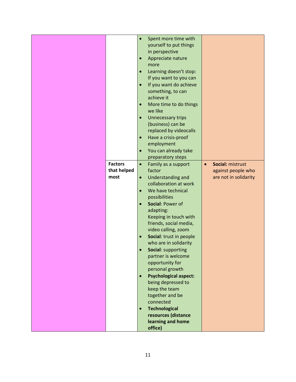|                | $\bullet$ | Spent more time with         |           |                       |
|----------------|-----------|------------------------------|-----------|-----------------------|
|                |           | yourself to put things       |           |                       |
|                |           | in perspective               |           |                       |
|                |           |                              |           |                       |
|                | $\bullet$ | Appreciate nature            |           |                       |
|                |           | more                         |           |                       |
|                | $\bullet$ | Learning doesn't stop:       |           |                       |
|                |           | If you want to you can       |           |                       |
|                | $\bullet$ | If you want do achieve       |           |                       |
|                |           | something, to can            |           |                       |
|                |           |                              |           |                       |
|                |           | achieve it                   |           |                       |
|                | $\bullet$ | More time to do things       |           |                       |
|                |           | we like                      |           |                       |
|                | $\bullet$ | Unnecessary trips            |           |                       |
|                |           | (business) can be            |           |                       |
|                |           |                              |           |                       |
|                |           | replaced by videocalls       |           |                       |
|                | $\bullet$ | Have a crisis-proof          |           |                       |
|                |           | employment                   |           |                       |
|                | $\bullet$ | You can already take         |           |                       |
|                |           | preparatory steps            |           |                       |
| <b>Factors</b> | $\bullet$ | Family as a support          | $\bullet$ | Social: mistrust      |
| that helped    |           | factor                       |           | against people who    |
|                |           |                              |           |                       |
| most           | $\bullet$ | Understanding and            |           | are not in solidarity |
|                |           | collaboration at work        |           |                       |
|                | $\bullet$ | We have technical            |           |                       |
|                |           | possibilities                |           |                       |
|                | $\bullet$ | Social: Power of             |           |                       |
|                |           | adapting:                    |           |                       |
|                |           | Keeping in touch with        |           |                       |
|                |           |                              |           |                       |
|                |           | friends, social media,       |           |                       |
|                |           | video calling, zoom          |           |                       |
|                | $\bullet$ | Social: trust in people      |           |                       |
|                |           | who are in solidarity        |           |                       |
|                |           | Social: supporting           |           |                       |
|                |           | partner is welcome           |           |                       |
|                |           | opportunity for              |           |                       |
|                |           | personal growth              |           |                       |
|                | $\bullet$ | <b>Psychological aspect:</b> |           |                       |
|                |           |                              |           |                       |
|                |           | being depressed to           |           |                       |
|                |           | keep the team                |           |                       |
|                |           | together and be              |           |                       |
|                |           | connected                    |           |                       |
|                | $\bullet$ | <b>Technological</b>         |           |                       |
|                |           | resources (distance          |           |                       |
|                |           | learning and home            |           |                       |
|                |           | office)                      |           |                       |
|                |           |                              |           |                       |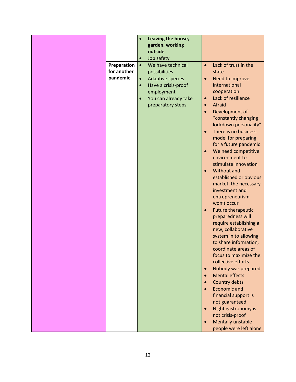|                                        | $\bullet$                           | Leaving the house,<br>garden, working<br>outside<br>Job safety                                                                           |                                                                                                      |                                                                                                                                                                                                                                                                                                                                                                                                                                                                                                                                                                                                                                                                              |
|----------------------------------------|-------------------------------------|------------------------------------------------------------------------------------------------------------------------------------------|------------------------------------------------------------------------------------------------------|------------------------------------------------------------------------------------------------------------------------------------------------------------------------------------------------------------------------------------------------------------------------------------------------------------------------------------------------------------------------------------------------------------------------------------------------------------------------------------------------------------------------------------------------------------------------------------------------------------------------------------------------------------------------------|
| Preparation<br>for another<br>pandemic | $\bullet$<br>$\bullet$<br>$\bullet$ | We have technical<br>possibilities<br>Adaptive species<br>Have a crisis-proof<br>employment<br>You can already take<br>preparatory steps | $\bullet$<br>$\bullet$<br>$\bullet$<br>$\bullet$<br>$\bullet$<br>$\bullet$<br>$\bullet$<br>$\bullet$ | Lack of trust in the<br>state<br>Need to improve<br>international<br>cooperation<br>Lack of resilience<br>Afraid<br>Development of<br>"constantly changing<br>lockdown personality"<br>There is no business<br>model for preparing<br>for a future pandemic<br>We need competitive<br>environment to<br>stimulate innovation<br>Without and<br>established or obvious<br>market, the necessary<br>investment and<br>entrepreneurism<br>won't occur<br><b>Future therapeutic</b><br>preparedness will<br>require establishing a<br>new, collaborative<br>system in to allowing<br>to share information,<br>coordinate areas of<br>focus to maximize the<br>collective efforts |
|                                        |                                     |                                                                                                                                          | $\bullet$<br>$\bullet$<br>$\bullet$<br>$\bullet$<br>$\bullet$                                        | Nobody war prepared<br><b>Mental effects</b><br>Country debts<br>Economic and<br>financial support is<br>not guaranteed<br>Night gastronomy is<br>not crisis-proof<br><b>Mentally unstable</b><br>people were left alone                                                                                                                                                                                                                                                                                                                                                                                                                                                     |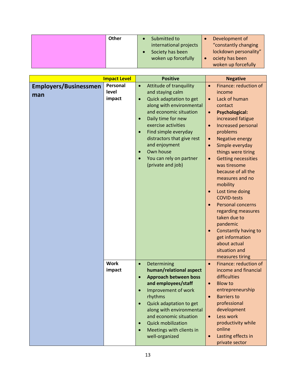| Other | Development of<br>Submitted to                 |
|-------|------------------------------------------------|
|       | "constantly changing<br>international projects |
|       | lockdown personality"<br>Society has been      |
|       | woken up forcefully<br>ociety has been         |
|       | woken up forcefully                            |

|                                     | <b>Impact Level</b>         | <b>Positive</b>                                                                                                                                                                                                                                                                                                                                      | <b>Negative</b>                                                                                                                                                                                                                                                                                                                                                                                                                                             |
|-------------------------------------|-----------------------------|------------------------------------------------------------------------------------------------------------------------------------------------------------------------------------------------------------------------------------------------------------------------------------------------------------------------------------------------------|-------------------------------------------------------------------------------------------------------------------------------------------------------------------------------------------------------------------------------------------------------------------------------------------------------------------------------------------------------------------------------------------------------------------------------------------------------------|
| <b>Employers/Businessmen</b><br>man | Personal<br>level<br>impact | Attitude of tranquility<br>$\bullet$<br>and staying calm<br>Quick adaptation to get<br>$\bullet$<br>along with environmental<br>and economic situation<br>Daily time for new<br>exercise activities<br>Find simple everyday<br>distractors that give rest<br>and enjoyment<br>Own house<br>$\bullet$<br>You can rely on partner<br>(private and job) | Finance: reduction of<br>$\bullet$<br>income<br>Lack of human<br>$\bullet$<br>contact<br><b>Psychological:</b><br>$\bullet$<br>increased fatigue<br>Increased personal<br>$\bullet$<br>problems<br><b>Negative energy</b><br>$\bullet$<br>Simple everyday<br>$\bullet$<br>things were tiring<br>Getting necessities<br>$\bullet$<br>was tiresome<br>because of all the<br>measures and no<br>mobility<br>Lost time doing<br>$\bullet$<br><b>COVID-tests</b> |
|                                     | <b>Work</b><br>impact       | Determining<br>$\bullet$<br>human/relational aspect<br><b>Approach between boss</b><br>$\bullet$<br>and employees/staff                                                                                                                                                                                                                              | <b>Personal concerns</b><br>$\bullet$<br>regarding measures<br>taken due to<br>pandemic<br>Constantly having to<br>$\bullet$<br>get information<br>about actual<br>situation and<br>measures tiring<br>Finance: reduction of<br>$\bullet$<br>income and financial<br>difficulties<br><b>Blow to</b><br>$\bullet$                                                                                                                                            |
|                                     |                             | Improvement of work<br>rhythms<br>Quick adaptation to get<br>$\bullet$<br>along with environmental<br>and economic situation<br><b>Quick mobilization</b><br>Meetings with clients in<br>well-organized                                                                                                                                              | entrepreneurship<br><b>Barriers to</b><br>$\bullet$<br>professional<br>development<br>Less work<br>$\bullet$<br>productivity while<br>online<br>Lasting effects in<br>$\bullet$<br>private sector                                                                                                                                                                                                                                                           |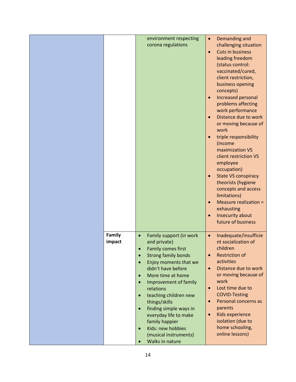|        | environment respecting<br>corona regulations                                                                                                                                                                                                                                                                                                                                                                                                    | Demanding and<br>$\bullet$<br>challenging situation<br><b>Cuts in business</b><br>$\bullet$<br>leading freedom<br>(status control:<br>vaccinated/cured,                                                                                                                                                                                                                                            |
|--------|-------------------------------------------------------------------------------------------------------------------------------------------------------------------------------------------------------------------------------------------------------------------------------------------------------------------------------------------------------------------------------------------------------------------------------------------------|----------------------------------------------------------------------------------------------------------------------------------------------------------------------------------------------------------------------------------------------------------------------------------------------------------------------------------------------------------------------------------------------------|
|        |                                                                                                                                                                                                                                                                                                                                                                                                                                                 | client restriction,<br>business opening<br>concepts)<br>Increased personal<br>$\bullet$<br>problems affecting<br>work performance<br>Distance due to work<br>$\bullet$<br>or moving because of                                                                                                                                                                                                     |
|        |                                                                                                                                                                                                                                                                                                                                                                                                                                                 | work<br>triple responsibility<br>$\bullet$<br>(income<br>maximization VS<br>client restriction VS<br>employee<br>occupation)<br><b>State VS conspiracy</b><br>$\bullet$<br>theorists (hygiene<br>concepts and access                                                                                                                                                                               |
|        |                                                                                                                                                                                                                                                                                                                                                                                                                                                 | limitations)<br>Measure realization =<br>$\bullet$<br>exhausting<br>Insecurity about<br>$\bullet$<br>future of business                                                                                                                                                                                                                                                                            |
| impact | and private)<br>Family comes first<br>$\bullet$<br><b>Strong family bonds</b><br>$\bullet$<br>Enjoy moments that we<br>$\bullet$<br>didn't have before<br>More time at home<br>$\bullet$<br>Improvement of family<br>$\bullet$<br>relations<br>teaching children new<br>$\bullet$<br>things/skills<br>finding simple ways in<br>$\bullet$<br>everyday life to make<br>family happier<br>Kids: new hobbies<br>$\bullet$<br>(musical instruments) | Inadequate/insufficie<br>$\bullet$<br>nt socialization of<br>children<br><b>Restriction of</b><br>$\bullet$<br>activities<br>Distance due to work<br>$\bullet$<br>or moving because of<br>work<br>Lost time due to<br>$\bullet$<br><b>COVID-Testing</b><br>Personal concerns as<br>$\bullet$<br>parents<br>Kids experience<br>$\bullet$<br>isolation (due to<br>home schooling,<br>online lessons) |
|        | Family                                                                                                                                                                                                                                                                                                                                                                                                                                          | Family support (in work<br>$\bullet$<br>Walks in nature                                                                                                                                                                                                                                                                                                                                            |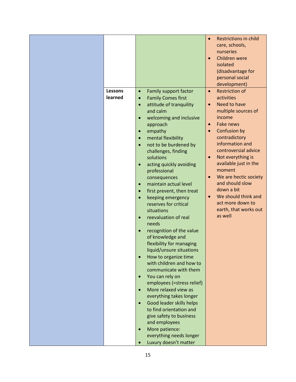| <b>Restrictions in child</b><br>$\bullet$<br>care, schools,<br>nurseries<br>Children were<br>$\bullet$<br>isolated<br>(disadvantage for<br>personal social<br>development)<br><b>Restriction of</b><br><b>Lessons</b><br>Family support factor<br>$\bullet$<br>$\bullet$<br>learned<br>activities<br><b>Family Comes first</b><br>$\bullet$<br>Need to have<br>attitude of tranquility<br>$\bullet$<br>$\bullet$<br>and calm<br>multiple sources of<br>income<br>welcoming and inclusive<br><b>Fake news</b><br>approach<br>$\bullet$ |
|---------------------------------------------------------------------------------------------------------------------------------------------------------------------------------------------------------------------------------------------------------------------------------------------------------------------------------------------------------------------------------------------------------------------------------------------------------------------------------------------------------------------------------------|
|                                                                                                                                                                                                                                                                                                                                                                                                                                                                                                                                       |
|                                                                                                                                                                                                                                                                                                                                                                                                                                                                                                                                       |
|                                                                                                                                                                                                                                                                                                                                                                                                                                                                                                                                       |
|                                                                                                                                                                                                                                                                                                                                                                                                                                                                                                                                       |
|                                                                                                                                                                                                                                                                                                                                                                                                                                                                                                                                       |
|                                                                                                                                                                                                                                                                                                                                                                                                                                                                                                                                       |
|                                                                                                                                                                                                                                                                                                                                                                                                                                                                                                                                       |
|                                                                                                                                                                                                                                                                                                                                                                                                                                                                                                                                       |
|                                                                                                                                                                                                                                                                                                                                                                                                                                                                                                                                       |
|                                                                                                                                                                                                                                                                                                                                                                                                                                                                                                                                       |
|                                                                                                                                                                                                                                                                                                                                                                                                                                                                                                                                       |
|                                                                                                                                                                                                                                                                                                                                                                                                                                                                                                                                       |
|                                                                                                                                                                                                                                                                                                                                                                                                                                                                                                                                       |
|                                                                                                                                                                                                                                                                                                                                                                                                                                                                                                                                       |
| Confusion by<br>empathy<br>$\bullet$<br>$\bullet$                                                                                                                                                                                                                                                                                                                                                                                                                                                                                     |
| contradictory<br>mental flexibility<br>$\bullet$                                                                                                                                                                                                                                                                                                                                                                                                                                                                                      |
| information and<br>not to be burdened by                                                                                                                                                                                                                                                                                                                                                                                                                                                                                              |
| controversial advice<br>challenges, finding                                                                                                                                                                                                                                                                                                                                                                                                                                                                                           |
| Not everything is<br>solutions<br>$\bullet$                                                                                                                                                                                                                                                                                                                                                                                                                                                                                           |
| available just in the<br>acting quickly avoiding<br>$\bullet$                                                                                                                                                                                                                                                                                                                                                                                                                                                                         |
| moment<br>professional                                                                                                                                                                                                                                                                                                                                                                                                                                                                                                                |
| We are hectic society<br>$\bullet$                                                                                                                                                                                                                                                                                                                                                                                                                                                                                                    |
| consequences<br>and should slow                                                                                                                                                                                                                                                                                                                                                                                                                                                                                                       |
| maintain actual level<br>$\bullet$<br>down a bit                                                                                                                                                                                                                                                                                                                                                                                                                                                                                      |
| first prevent, then treat<br>$\bullet$<br>We should think and<br>$\bullet$                                                                                                                                                                                                                                                                                                                                                                                                                                                            |
| keeping emergency<br>$\bullet$<br>act more down to                                                                                                                                                                                                                                                                                                                                                                                                                                                                                    |
| reserves for critical<br>earth, that works out                                                                                                                                                                                                                                                                                                                                                                                                                                                                                        |
| situations<br>as well                                                                                                                                                                                                                                                                                                                                                                                                                                                                                                                 |
| reevaluation of real<br>$\bullet$                                                                                                                                                                                                                                                                                                                                                                                                                                                                                                     |
| needs                                                                                                                                                                                                                                                                                                                                                                                                                                                                                                                                 |
| recognition of the value<br>$\bullet$                                                                                                                                                                                                                                                                                                                                                                                                                                                                                                 |
| of knowledge and                                                                                                                                                                                                                                                                                                                                                                                                                                                                                                                      |
| flexibility for managing                                                                                                                                                                                                                                                                                                                                                                                                                                                                                                              |
| liquid/unsure situations                                                                                                                                                                                                                                                                                                                                                                                                                                                                                                              |
| How to organize time                                                                                                                                                                                                                                                                                                                                                                                                                                                                                                                  |
| with children and how to                                                                                                                                                                                                                                                                                                                                                                                                                                                                                                              |
| communicate with them                                                                                                                                                                                                                                                                                                                                                                                                                                                                                                                 |
| You can rely on<br>$\bullet$                                                                                                                                                                                                                                                                                                                                                                                                                                                                                                          |
| employees (=stress relief)                                                                                                                                                                                                                                                                                                                                                                                                                                                                                                            |
| More relaxed view as<br>$\bullet$                                                                                                                                                                                                                                                                                                                                                                                                                                                                                                     |
| everything takes longer                                                                                                                                                                                                                                                                                                                                                                                                                                                                                                               |
| Good leader skills helps                                                                                                                                                                                                                                                                                                                                                                                                                                                                                                              |
| to find orientation and                                                                                                                                                                                                                                                                                                                                                                                                                                                                                                               |
| give safety to business                                                                                                                                                                                                                                                                                                                                                                                                                                                                                                               |
| and employees                                                                                                                                                                                                                                                                                                                                                                                                                                                                                                                         |
| More patience:                                                                                                                                                                                                                                                                                                                                                                                                                                                                                                                        |
| everything needs longer                                                                                                                                                                                                                                                                                                                                                                                                                                                                                                               |
| Luxury doesn't matter<br>$\bullet$                                                                                                                                                                                                                                                                                                                                                                                                                                                                                                    |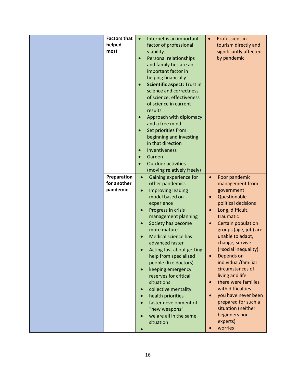| <b>Factors that</b> | $\bullet$ | Internet is an important           | $\bullet$ | Professions in         |
|---------------------|-----------|------------------------------------|-----------|------------------------|
| helped              |           | factor of professional             |           | tourism directly and   |
| most                |           | viability                          |           | significantly affected |
|                     | $\bullet$ | Personal relationships             |           | by pandemic            |
|                     |           | and family ties are an             |           |                        |
|                     |           | important factor in                |           |                        |
|                     |           |                                    |           |                        |
|                     |           | helping financially                |           |                        |
|                     | $\bullet$ | <b>Scientific aspect: Trust in</b> |           |                        |
|                     |           | science and correctness            |           |                        |
|                     |           | of science; effectiveness          |           |                        |
|                     |           | of science in current              |           |                        |
|                     |           | results                            |           |                        |
|                     | $\bullet$ | Approach with diplomacy            |           |                        |
|                     |           | and a free mind                    |           |                        |
|                     | $\bullet$ | Set priorities from                |           |                        |
|                     |           | beginning and investing            |           |                        |
|                     |           | in that direction                  |           |                        |
|                     | $\bullet$ | Inventiveness                      |           |                        |
|                     | $\bullet$ | Garden                             |           |                        |
|                     |           | <b>Outdoor activities</b>          |           |                        |
|                     |           | (moving relatively freely)         |           |                        |
| Preparation         | $\bullet$ | Gaining experience for             | $\bullet$ | Poor pandemic          |
| for another         |           | other pandemics                    |           | management from        |
| pandemic            | $\bullet$ | Improving leading                  |           | government             |
|                     |           | model based on                     | $\bullet$ | Questionable           |
|                     |           |                                    |           |                        |
|                     |           | experience                         |           | political decisions    |
|                     | $\bullet$ | Progress in crisis                 |           | Long, difficult,       |
|                     |           | management planning                |           | traumatic              |
|                     | $\bullet$ | Society has become                 | $\bullet$ | Certain population     |
|                     |           | more mature                        |           | groups (age, job) are  |
|                     |           | Medical science has                |           | unable to adapt,       |
|                     |           | advanced faster                    |           | change, survive        |
|                     |           | Acting fast about getting          |           | (=social inequality)   |
|                     |           | help from specialized              | $\bullet$ | Depends on             |
|                     |           | people (like doctors)              |           | individual/familiar    |
|                     | $\bullet$ | keeping emergency                  |           | circumstances of       |
|                     |           | reserves for critical              |           | living and life        |
|                     |           | situations                         |           | there were families    |
|                     | $\bullet$ | collective mentality               |           | with difficulties      |
|                     | $\bullet$ | health priorities                  |           | you have never been    |
|                     |           | faster development of              |           | prepared for such a    |
|                     |           | "new weapons"                      |           | situation (neither     |
|                     |           | we are all in the same             |           | beginners nor          |
|                     |           | situation                          |           | experts)               |
|                     |           |                                    |           | worries                |
|                     |           |                                    |           |                        |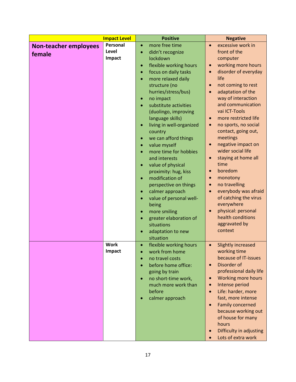|                              | <b>Impact Level</b> | <b>Positive</b>                                                | <b>Negative</b>                                             |
|------------------------------|---------------------|----------------------------------------------------------------|-------------------------------------------------------------|
| <b>Non-teacher employees</b> | Personal            | more free time<br>$\bullet$                                    | excessive work in<br>$\bullet$                              |
| female                       | Level               | didn't recognize<br>$\bullet$                                  | front of the                                                |
|                              | Impact              | lockdown                                                       | computer                                                    |
|                              |                     | flexible working hours<br>$\bullet$                            | working more hours<br>$\bullet$                             |
|                              |                     | focus on daily tasks<br>$\bullet$                              | disorder of everyday<br>$\bullet$                           |
|                              |                     | more relaxed daily<br>$\bullet$                                | life                                                        |
|                              |                     | structure (no                                                  | not coming to rest<br>$\bullet$                             |
|                              |                     | hurries/stress/bus)                                            | adaptation of the<br>$\bullet$                              |
|                              |                     | no impact<br>$\bullet$                                         | way of interaction                                          |
|                              |                     | substitute activities<br>$\bullet$                             | and communication                                           |
|                              |                     | (duolingo, improving                                           | vai ICT-Tools                                               |
|                              |                     | language skills)                                               | more restricted life<br>$\bullet$                           |
|                              |                     | living in well-organized<br>$\bullet$                          | no sports, no social<br>$\bullet$                           |
|                              |                     | country                                                        | contact, going out,<br>meetings                             |
|                              |                     | we can afford things<br>$\bullet$<br>value myself<br>$\bullet$ | negative impact on<br>$\bullet$                             |
|                              |                     | more time for hobbies<br>$\bullet$                             | wider social life                                           |
|                              |                     | and interests                                                  | staying at home all<br>$\bullet$                            |
|                              |                     | value of physical<br>$\bullet$                                 | time                                                        |
|                              |                     | proximity: hug, kiss                                           | boredom<br>$\bullet$                                        |
|                              |                     | modification of<br>$\bullet$                                   | monotony<br>$\bullet$                                       |
|                              |                     | perspective on things                                          | no travelling<br>$\bullet$                                  |
|                              |                     | calmer approach<br>$\bullet$                                   | everybody was afraid<br>$\bullet$                           |
|                              |                     | value of personal well-<br>$\bullet$                           | of catching the virus                                       |
|                              |                     | being                                                          | everywhere                                                  |
|                              |                     | more smiling<br>$\bullet$                                      | physical: personal<br>$\bullet$                             |
|                              |                     | greater elaboration of<br>$\bullet$                            | health conditions                                           |
|                              |                     | situations                                                     | aggravated by                                               |
|                              |                     | adaptation to new                                              | context                                                     |
|                              |                     | situation                                                      |                                                             |
|                              | <b>Work</b>         | flexible working hours<br>$\bullet$                            | <b>Slightly increased</b><br>$\bullet$                      |
|                              | Impact              | work from home                                                 | working time                                                |
|                              |                     | no travel costs                                                | because of IT-issues                                        |
|                              |                     | before home office:<br>$\bullet$                               | Disorder of<br>$\bullet$                                    |
|                              |                     | going by train                                                 | professional daily life                                     |
|                              |                     | no short-time work,<br>$\bullet$                               | Working more hours<br>$\bullet$                             |
|                              |                     | much more work than                                            | Intense period<br>$\bullet$                                 |
|                              |                     | before                                                         | Life: harder, more<br>$\bullet$                             |
|                              |                     | calmer approach                                                | fast, more intense                                          |
|                              |                     |                                                                | <b>Family concerned</b><br>$\bullet$<br>because working out |
|                              |                     |                                                                | of house for many                                           |
|                              |                     |                                                                | hours                                                       |
|                              |                     |                                                                | Difficulty in adjusting<br>$\bullet$                        |
|                              |                     |                                                                | Lots of extra work<br>$\bullet$                             |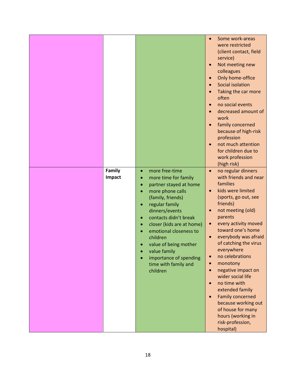| Family<br>Impact | more free-time<br>$\bullet$<br>more time for family<br>$\bullet$<br>partner stayed at home<br>$\bullet$<br>more phone calls<br>$\bullet$<br>(family, friends)<br>regular family<br>$\bullet$<br>dinners/events<br>contacts didn't break<br>$\bullet$ | Some work-areas<br>$\bullet$<br>were restricted<br>(client contact, field<br>service)<br>Not meeting new<br>colleagues<br>Only home-office<br>Social isolation<br>Taking the car more<br>often<br>no social events<br>decreased amount of<br>work<br>family concerned<br>because of high-risk<br>profession<br>not much attention<br>for children due to<br>work profession<br>(high risk)<br>no regular dinners<br>$\bullet$<br>with friends and near<br>families<br>kids were limited<br>$\bullet$<br>(sports, go out, see<br>friends)<br>not meeting (old)<br>parents |
|------------------|------------------------------------------------------------------------------------------------------------------------------------------------------------------------------------------------------------------------------------------------------|--------------------------------------------------------------------------------------------------------------------------------------------------------------------------------------------------------------------------------------------------------------------------------------------------------------------------------------------------------------------------------------------------------------------------------------------------------------------------------------------------------------------------------------------------------------------------|
|                  | closer (kids are at home)<br>$\bullet$<br>emotional closeness to<br>children<br>value of being mother<br>value family<br>importance of spending<br>time with family and<br>children                                                                  | every activity moved<br>$\bullet$<br>toward one's home<br>everybody was afraid<br>of catching the virus<br>everywhere<br>no celebrations<br>monotony<br>$\bullet$<br>negative impact on<br>$\bullet$<br>wider social life<br>no time with<br>extended family<br><b>Family concerned</b><br>$\bullet$<br>because working out<br>of house for many<br>hours (working in<br>risk-profession,<br>hospital)                                                                                                                                                                   |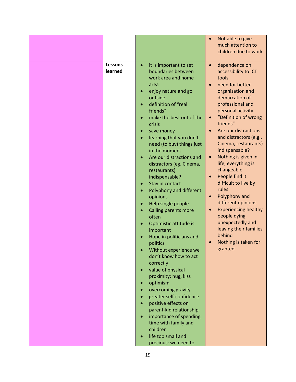|         |                                                 | Not able to give<br>$\bullet$                 |
|---------|-------------------------------------------------|-----------------------------------------------|
|         |                                                 | much attention to                             |
|         |                                                 | children due to work                          |
|         |                                                 |                                               |
| Lessons | it is important to set<br>$\bullet$             | dependence on<br>$\bullet$                    |
| learned | boundaries between                              | accessibility to ICT                          |
|         | work area and home                              | tools                                         |
|         | area                                            | need for better<br>$\bullet$                  |
|         | enjoy nature and go                             | organization and                              |
|         | outside                                         | demarcation of                                |
|         | definition of "real                             | professional and                              |
|         | friends"                                        | personal activity                             |
|         | make the best out of the<br>$\bullet$<br>crisis | "Definition of wrong<br>$\bullet$<br>friends" |
|         | save money<br>$\bullet$                         | Are our distractions<br>$\bullet$             |
|         | learning that you don't<br>$\bullet$            | and distractors (e.g.,                        |
|         | need (to buy) things just                       | Cinema, restaurants)                          |
|         | in the moment                                   | indispensable?                                |
|         | Are our distractions and<br>$\bullet$           | Nothing is given in<br>$\bullet$              |
|         | distractors (eg. Cinema,                        | life, everything is                           |
|         | restaurants)                                    | changeable                                    |
|         | indispensable?                                  | People find it<br>$\bullet$                   |
|         | Stay in contact<br>$\bullet$                    | difficult to live by                          |
|         | Polyphony and different<br>$\bullet$            | rules                                         |
|         | opinions                                        | Polyphony and<br>$\bullet$                    |
|         | Help single people<br>$\bullet$                 | different opinions                            |
|         | Calling parents more                            | <b>Experiencing healthy</b><br>$\bullet$      |
|         | often                                           | people dying                                  |
|         | Optimistic attitude is                          | unexpectedly and                              |
|         | important                                       | leaving their families                        |
|         | Hope in politicians and                         | behind                                        |
|         | politics                                        | Nothing is taken for<br>$\bullet$             |
|         | Without experience we                           | granted                                       |
|         | don't know how to act                           |                                               |
|         | correctly                                       |                                               |
|         | value of physical<br>$\bullet$                  |                                               |
|         | proximity: hug, kiss                            |                                               |
|         | optimism                                        |                                               |
|         | overcoming gravity                              |                                               |
|         | greater self-confidence                         |                                               |
|         | positive effects on                             |                                               |
|         | parent-kid relationship                         |                                               |
|         | importance of spending<br>$\bullet$             |                                               |
|         | time with family and                            |                                               |
|         | children                                        |                                               |
|         | life too small and                              |                                               |
|         | precious: we need to                            |                                               |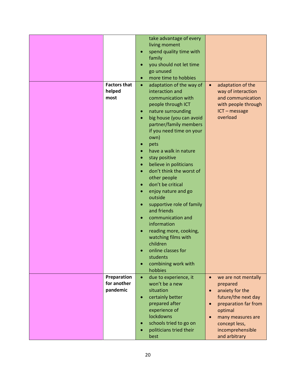|                            |           | take advantage of every          |           |                      |
|----------------------------|-----------|----------------------------------|-----------|----------------------|
|                            |           | living moment                    |           |                      |
|                            |           | spend quality time with          |           |                      |
|                            |           | family                           |           |                      |
|                            |           | you should not let time          |           |                      |
|                            | $\bullet$ |                                  |           |                      |
|                            |           | go unused                        |           |                      |
|                            |           | more time to hobbies             |           |                      |
| <b>Factors that</b>        | $\bullet$ | adaptation of the way of         | $\bullet$ | adaptation of the    |
| helped                     |           | interaction and                  |           | way of interaction   |
| most                       |           | communication with               |           | and communication    |
|                            |           | people through ICT               |           | with people through  |
|                            | $\bullet$ | nature surrounding               |           | ICT-message          |
|                            |           | big house (you can avoid         |           | overload             |
|                            |           | partner/family members           |           |                      |
|                            |           | if you need time on your         |           |                      |
|                            |           | own)                             |           |                      |
|                            |           | pets                             |           |                      |
|                            |           | have a walk in nature            |           |                      |
|                            |           | stay positive                    |           |                      |
|                            | $\bullet$ | believe in politicians           |           |                      |
|                            | $\bullet$ | don't think the worst of         |           |                      |
|                            |           | other people                     |           |                      |
|                            |           | don't be critical                |           |                      |
|                            | $\bullet$ | enjoy nature and go              |           |                      |
|                            |           | outside                          |           |                      |
|                            | $\bullet$ | supportive role of family        |           |                      |
|                            |           | and friends                      |           |                      |
|                            | $\bullet$ | communication and<br>information |           |                      |
|                            |           |                                  |           |                      |
|                            |           | reading more, cooking,           |           |                      |
|                            |           | watching films with<br>children  |           |                      |
|                            |           |                                  |           |                      |
|                            |           | online classes for               |           |                      |
|                            |           | students                         |           |                      |
|                            | $\bullet$ | combining work with              |           |                      |
|                            |           | hobbies                          |           |                      |
| Preparation<br>for another | $\bullet$ | due to experience, it            |           | we are not mentally  |
| pandemic                   |           | won't be a new                   |           | prepared             |
|                            |           | situation                        | $\bullet$ | anxiety for the      |
|                            |           | certainly better                 |           | future/the next day  |
|                            |           | prepared after                   |           | preparation far from |
|                            |           | experience of                    |           | optimal              |
|                            |           | lockdowns                        |           | many measures are    |
|                            | $\bullet$ | schools tried to go on           |           | concept less,        |
|                            |           | politicians tried their          |           | incomprehensible     |
|                            |           | best                             |           | and arbitrary        |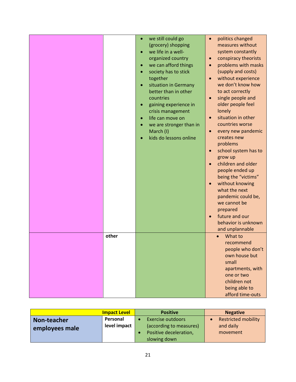|       | $\bullet$<br>$\bullet$<br>$\bullet$ | we still could go<br>(grocery) shopping<br>we life in a well-<br>organized country<br>we can afford things<br>society has to stick<br>together<br>situation in Germany<br>better than in other<br>countries<br>gaining experience in<br>crisis management<br>life can move on<br>we are stronger than in<br>March (I)<br>kids do lessons online | $\bullet$<br>$\bullet$<br>$\bullet$<br>$\bullet$<br>$\bullet$<br>$\bullet$<br>$\bullet$<br>$\bullet$<br>$\bullet$<br>$\bullet$<br>$\bullet$ | politics changed<br>measures without<br>system constantly<br>conspiracy theorists<br>problems with masks<br>(supply and costs)<br>without experience<br>we don't know how<br>to act correctly<br>single people and<br>older people feel<br>lonely<br>situation in other<br>countries worse<br>every new pandemic<br>creates new<br>problems<br>school system has to<br>grow up<br>children and older<br>people ended up<br>being the "victims"<br>without knowing<br>what the next<br>pandemic could be,<br>we cannot be<br>prepared<br>future and our<br>behavior is unknown<br>and unplannable |
|-------|-------------------------------------|-------------------------------------------------------------------------------------------------------------------------------------------------------------------------------------------------------------------------------------------------------------------------------------------------------------------------------------------------|---------------------------------------------------------------------------------------------------------------------------------------------|--------------------------------------------------------------------------------------------------------------------------------------------------------------------------------------------------------------------------------------------------------------------------------------------------------------------------------------------------------------------------------------------------------------------------------------------------------------------------------------------------------------------------------------------------------------------------------------------------|
| other |                                     |                                                                                                                                                                                                                                                                                                                                                 |                                                                                                                                             | What to<br>$\bullet$                                                                                                                                                                                                                                                                                                                                                                                                                                                                                                                                                                             |
|       |                                     |                                                                                                                                                                                                                                                                                                                                                 |                                                                                                                                             | recommend<br>people who don't<br>own house but<br>small<br>apartments, with<br>one or two<br>children not<br>being able to<br>afford time-outs                                                                                                                                                                                                                                                                                                                                                                                                                                                   |

|                | <b>Impact Level</b> | <b>Positive</b>         | <b>Negative</b>            |
|----------------|---------------------|-------------------------|----------------------------|
| Non-teacher    | Personal            | Exercise outdoors       | <b>Restricted mobility</b> |
| employees male | level impact        | (according to measures) | and daily                  |
|                |                     | Positive deceleration,  | movement                   |
|                |                     | slowing down            |                            |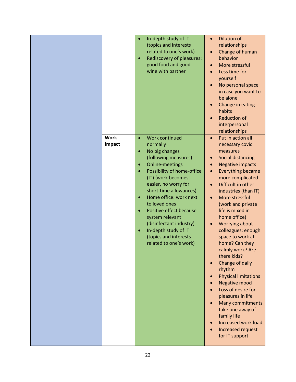| <b>Work</b> | $\bullet$<br>$\bullet$                                                                  | In-depth study of IT<br>(topics and interests<br>related to one's work)<br>Rediscovery of pleasures:<br>good food and good<br>wine with partner                                                                                                                                                                                                                                                            | $\bullet$                           | <b>Dilution of</b><br>relationships<br>Change of human<br>behavior<br>More stressful<br>Less time for<br>yourself<br>No personal space<br>in case you want to<br>be alone<br>Change in eating<br>habits<br><b>Reduction of</b><br>interpersonal<br>relationships                                                                                                                                                                                                                                                                                                                                                                                             |
|-------------|-----------------------------------------------------------------------------------------|------------------------------------------------------------------------------------------------------------------------------------------------------------------------------------------------------------------------------------------------------------------------------------------------------------------------------------------------------------------------------------------------------------|-------------------------------------|--------------------------------------------------------------------------------------------------------------------------------------------------------------------------------------------------------------------------------------------------------------------------------------------------------------------------------------------------------------------------------------------------------------------------------------------------------------------------------------------------------------------------------------------------------------------------------------------------------------------------------------------------------------|
| Impact      | $\bullet$<br>$\bullet$<br>$\bullet$<br>$\bullet$<br>$\bullet$<br>$\bullet$<br>$\bullet$ | <b>Work continued</b><br>normally<br>No big changes<br>(following measures)<br><b>Online-meetings</b><br>Possibility of home-office<br>(IT) (work becomes<br>easier, no worry for<br>short-time allowances)<br>Home office: work next<br>to loved ones<br>Positive effect because<br>system relevant<br>(disinfectant industry)<br>In-depth study of IT<br>(topics and interests<br>related to one's work) | $\bullet$<br>$\bullet$<br>$\bullet$ | Put in action all<br>necessary covid<br>measures<br>Social distancing<br><b>Negative impacts</b><br><b>Everything became</b><br>more complicated<br>Difficult in other<br>industries (than IT)<br>More stressful<br>(work and private<br>life is mixed in<br>home office)<br><b>Worrying about</b><br>colleagues: enough<br>space to work at<br>home? Can they<br>calmly work? Are<br>there kids?<br>Change of daily<br>rhythm<br><b>Physical limitations</b><br><b>Negative mood</b><br>Loss of desire for<br>pleasures in life<br><b>Many commitments</b><br>take one away of<br>family life<br>Increased work load<br>Increased request<br>for IT support |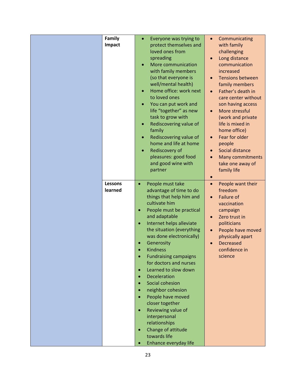| Family         | Everyone was trying to<br>$\bullet$   | Communicating<br>$\bullet$           |
|----------------|---------------------------------------|--------------------------------------|
| Impact         | protect themselves and                | with family                          |
|                | loved ones from                       | challenging                          |
|                | spreading                             | Long distance<br>$\bullet$           |
|                | More communication<br>$\bullet$       | communication                        |
|                | with family members                   | increased                            |
|                | (so that everyone is                  | <b>Tensions between</b><br>$\bullet$ |
|                | well/mental health)                   |                                      |
|                |                                       | family members                       |
|                | Home office: work next<br>$\bullet$   | Father's death in                    |
|                | to loved ones                         | care center without                  |
|                | You can put work and<br>$\bullet$     | son having access                    |
|                | life "together" as new                | More stressful<br>$\bullet$          |
|                | task to grow with                     | (work and private                    |
|                | Rediscovering value of<br>$\bullet$   | life is mixed in                     |
|                | family                                | home office)                         |
|                | Rediscovering value of<br>٠           | Fear for older<br>$\bullet$          |
|                | home and life at home                 | people                               |
|                |                                       |                                      |
|                | Rediscovery of<br>$\bullet$           | Social distance                      |
|                | pleasures: good food                  | <b>Many commitments</b>              |
|                | and good wine with                    | take one away of                     |
|                | partner                               | family life                          |
|                |                                       | $\bullet$                            |
| <b>Lessons</b> | People must take<br>$\bullet$         | People want their<br>$\bullet$       |
| learned        | advantage of time to do               | freedom                              |
|                | things that help him and              | <b>Failure of</b><br>$\bullet$       |
|                | cultivate him                         |                                      |
|                |                                       | vaccination                          |
|                | People must be practical<br>$\bullet$ | campaign                             |
|                | and adaptable                         | Zero trust in<br>$\bullet$           |
|                | Internet helps alleviate<br>$\bullet$ | politicians                          |
|                | the situation (everything             | People have moved<br>$\bullet$       |
|                | was done electronically)              | physically apart                     |
|                | Generosity                            | <b>Decreased</b>                     |
|                | <b>Kindness</b>                       | confidence in                        |
|                | <b>Fundraising campaigns</b>          | science                              |
|                | for doctors and nurses                |                                      |
|                | Learned to slow down<br>$\bullet$     |                                      |
|                |                                       |                                      |
|                | <b>Deceleration</b>                   |                                      |
|                | Social cohesion                       |                                      |
|                | neighbor cohesion<br>$\bullet$        |                                      |
|                | People have moved                     |                                      |
|                | closer together                       |                                      |
|                | Reviewing value of<br>$\bullet$       |                                      |
|                | interpersonal                         |                                      |
|                | relationships                         |                                      |
|                | Change of attitude<br>$\bullet$       |                                      |
|                | towards life                          |                                      |
|                |                                       |                                      |
|                | Enhance everyday life<br>$\bullet$    |                                      |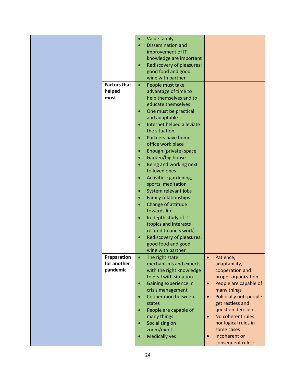|                     | $\bullet$ | Value family                |                                      |
|---------------------|-----------|-----------------------------|--------------------------------------|
|                     |           | <b>Dissemination and</b>    |                                      |
|                     |           | improvement of IT           |                                      |
|                     |           | knowledge are important     |                                      |
|                     | $\bullet$ | Rediscovery of pleasures:   |                                      |
|                     |           | good food and good          |                                      |
|                     |           | wine with partner           |                                      |
| <b>Factors that</b> | $\bullet$ | People must take            |                                      |
| helped              |           | advantage of time to        |                                      |
| most                |           | help themselves and to      |                                      |
|                     |           | educate themselves          |                                      |
|                     | $\bullet$ | One must be practical       |                                      |
|                     |           | and adaptable               |                                      |
|                     | $\bullet$ | Internet helped alleviate   |                                      |
|                     |           | the situation               |                                      |
|                     |           | Partners have home          |                                      |
|                     |           | office work place           |                                      |
|                     | $\bullet$ | Enough (private) space      |                                      |
|                     | $\bullet$ | Garden/big house            |                                      |
|                     |           | Being and working next      |                                      |
|                     |           | to loved ones               |                                      |
|                     | $\bullet$ | Activities: gardening,      |                                      |
|                     |           | sports, meditation          |                                      |
|                     | $\bullet$ | System relevant jobs        |                                      |
|                     |           |                             |                                      |
|                     |           | <b>Family relationships</b> |                                      |
|                     |           | Change of attitude          |                                      |
|                     |           | towards life                |                                      |
|                     | $\bullet$ | In-depth study of IT        |                                      |
|                     |           | (topics and interests       |                                      |
|                     |           | related to one's work)      |                                      |
|                     |           | Rediscovery of pleasures:   |                                      |
|                     |           | good food and good          |                                      |
|                     |           | wine with partner           |                                      |
| Preparation         | $\bullet$ | The right state             | Patience,<br>$\bullet$               |
| for another         |           | mechanisms and experts      | adaptability,                        |
| pandemic            |           | with the right knowledge    | cooperation and                      |
|                     |           | to deal with situation      | proper organization                  |
|                     | $\bullet$ | Gaining experience in       | People are capable of<br>$\bullet$   |
|                     |           | crisis management           | many things                          |
|                     |           | <b>Cooperation between</b>  | Politically not: people<br>$\bullet$ |
|                     |           | states                      | get restless and                     |
|                     |           | People are capable of       | question decisions                   |
|                     |           | many things                 | No coherent rules<br>$\bullet$       |
|                     |           | Socializing on              | nor logical rules in                 |
|                     |           | zoom/meet                   | some cases                           |
|                     |           | <b>Medically yes</b>        | Incoherent or<br>$\bullet$           |
|                     |           |                             | consequent rules:                    |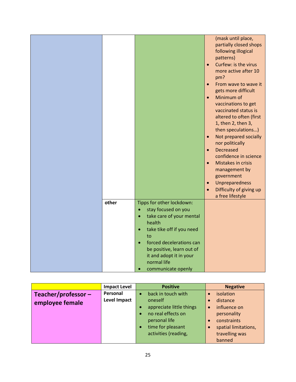|       |                                                                                                                                                                       | $\bullet$<br>$\bullet$<br>$\bullet$<br>$\bullet$<br>$\bullet$ | (mask until place,<br>partially closed shops<br>following illogical<br>patterns)<br>Curfew: is the virus<br>more active after 10<br>pm?<br>From wave to wave it<br>gets more difficult<br>Minimum of<br>vaccinations to get<br>vaccinated status is<br>altered to often (first<br>1, then 2, then 3,<br>then speculations)<br>Not prepared socially<br>nor politically<br><b>Decreased</b><br>confidence in science<br>Mistakes in crisis<br>management by<br>government<br>Unpreparedness<br>Difficulty of giving up<br>a free lifestyle |
|-------|-----------------------------------------------------------------------------------------------------------------------------------------------------------------------|---------------------------------------------------------------|-------------------------------------------------------------------------------------------------------------------------------------------------------------------------------------------------------------------------------------------------------------------------------------------------------------------------------------------------------------------------------------------------------------------------------------------------------------------------------------------------------------------------------------------|
| other | Tipps for other lockdown:<br>stay focused on you<br>take care of your mental<br>health                                                                                |                                                               |                                                                                                                                                                                                                                                                                                                                                                                                                                                                                                                                           |
|       | take tike off if you need<br>$\bullet$<br>to<br>forced decelerations can<br>be positive, learn out of<br>it and adopt it in your<br>normal life<br>communicate openly |                                                               |                                                                                                                                                                                                                                                                                                                                                                                                                                                                                                                                           |

|                       | <b>Impact Level</b> |           | <b>Positive</b>          |           | <b>Negative</b>      |
|-----------------------|---------------------|-----------|--------------------------|-----------|----------------------|
| Teacher/professor $-$ | Personal            |           | back in touch with       |           | isolation            |
| employee female       | <b>Level Impact</b> |           | oneself                  |           | distance             |
|                       |                     |           | appreciate little things | $\bullet$ | influence on         |
|                       |                     | $\bullet$ | no real effects on       |           | personality          |
|                       |                     |           | personal life            |           | constraints          |
|                       |                     | $\bullet$ | time for pleasant        |           | spatial limitations, |
|                       |                     |           | activities (reading,     |           | travelling was       |
|                       |                     |           |                          |           | banned               |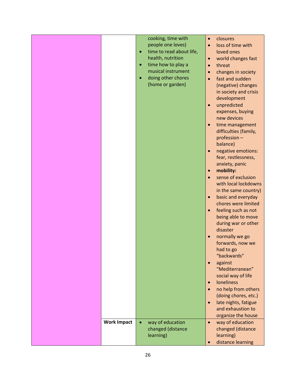|                    |           | cooking, time with       | $\bullet$ | closures              |
|--------------------|-----------|--------------------------|-----------|-----------------------|
|                    |           | people one loves)        | $\bullet$ | loss of time with     |
|                    | $\bullet$ | time to read about life, |           | loved ones            |
|                    |           | health, nutrition        | $\bullet$ | world changes fast    |
|                    | $\bullet$ | time how to play a       | $\bullet$ | threat                |
|                    |           | musical instrument       | $\bullet$ | changes in society    |
|                    | $\bullet$ | doing other chores       | $\bullet$ | fast and sudden       |
|                    |           | (home or garden)         |           | (negative) changes    |
|                    |           |                          |           | in society and crisis |
|                    |           |                          |           | development           |
|                    |           |                          | $\bullet$ | unpredicted           |
|                    |           |                          |           | expenses, buying      |
|                    |           |                          |           | new devices           |
|                    |           |                          | $\bullet$ | time management       |
|                    |           |                          |           | difficulties (family, |
|                    |           |                          |           | profession -          |
|                    |           |                          |           | balance)              |
|                    |           |                          | $\bullet$ | negative emotions:    |
|                    |           |                          |           | fear, restlessness,   |
|                    |           |                          |           | anxiety, panic        |
|                    |           |                          | $\bullet$ | mobility:             |
|                    |           |                          | $\bullet$ | sense of exclusion    |
|                    |           |                          |           | with local lockdowns  |
|                    |           |                          |           | in the same country)  |
|                    |           |                          | $\bullet$ | basic and everyday    |
|                    |           |                          |           | chores were limited   |
|                    |           |                          | $\bullet$ | feeling such as not   |
|                    |           |                          |           | being able to move    |
|                    |           |                          |           | during war or other   |
|                    |           |                          |           | disaster              |
|                    |           |                          | $\bullet$ | normally we go        |
|                    |           |                          |           | forwards, now we      |
|                    |           |                          |           | had to go             |
|                    |           |                          |           | "backwards"           |
|                    |           |                          | $\bullet$ | against               |
|                    |           |                          |           | "Mediterranean"       |
|                    |           |                          |           | social way of life    |
|                    |           |                          | $\bullet$ | <b>loneliness</b>     |
|                    |           |                          | $\bullet$ | no help from others   |
|                    |           |                          |           | (doing chores, etc.)  |
|                    |           |                          | $\bullet$ | late nights, fatigue  |
|                    |           |                          |           | and exhaustion to     |
|                    |           |                          |           | organize the house    |
| <b>Work Impact</b> | $\bullet$ | way of education         | $\bullet$ | way of education      |
|                    |           | changed (distance        |           | changed (distance     |
|                    |           | learning)                |           | learning)             |
|                    |           |                          | $\bullet$ | distance learning     |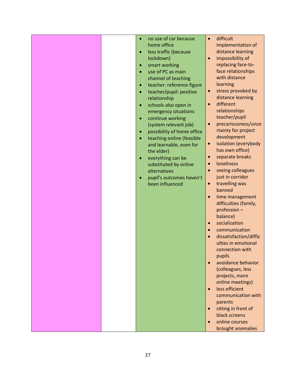|  | no use of car because<br>$\bullet$     | difficult<br>$\bullet$                |
|--|----------------------------------------|---------------------------------------|
|  | home office                            | implementation of                     |
|  | less traffic (because<br>$\bullet$     | distance learning                     |
|  | lockdown)                              | impossibility of<br>$\bullet$         |
|  | smart working<br>$\bullet$             | replacing face-to-                    |
|  | use of PC as main                      | face relationships                    |
|  | channel of teaching                    | with distance                         |
|  | teacher: reference figure<br>$\bullet$ | learning                              |
|  | teacher/pupil: positive<br>$\bullet$   | stress provoked by<br>$\bullet$       |
|  | relationship                           | distance learning                     |
|  | schools also open in<br>$\bullet$      | different<br>$\bullet$                |
|  | emergency situations                   | relationships                         |
|  | continue working<br>$\bullet$          | teacher/pupil                         |
|  | (system relevant job)                  | precariousness/unce<br>$\bullet$      |
|  | possibility of home office             | rtainty for project                   |
|  | $\bullet$                              | development                           |
|  | teaching online (feasible<br>$\bullet$ | isolation (everybody<br>$\bullet$     |
|  | and learnable, even for<br>the elder)  | has own office)                       |
|  |                                        | separate breaks<br>$\bullet$          |
|  | everything can be<br>$\bullet$         | <b>loneliness</b><br>$\bullet$        |
|  | substituted by online                  | seeing colleagues<br>$\bullet$        |
|  | alternatives                           | just in corridor                      |
|  | pupil's outcomes haven't<br>$\bullet$  |                                       |
|  | been influenced                        | travelling was<br>$\bullet$<br>banned |
|  |                                        |                                       |
|  |                                        | time management<br>$\bullet$          |
|  |                                        | difficulties (family,<br>profession - |
|  |                                        | balance)                              |
|  |                                        | socialization                         |
|  |                                        | $\bullet$                             |
|  |                                        | communication<br>$\bullet$            |
|  |                                        | dissatisfaction/diffic<br>$\bullet$   |
|  |                                        | ulties in emotional                   |
|  |                                        | connection with                       |
|  |                                        | pupils                                |
|  |                                        | avoidance behavior<br>$\bullet$       |
|  |                                        | (colleagues, less                     |
|  |                                        | projects, more                        |
|  |                                        | online meetings)                      |
|  |                                        | less efficient<br>$\bullet$           |
|  |                                        | communication with                    |
|  |                                        | parents                               |
|  |                                        | sitting in front of<br>$\bullet$      |
|  |                                        | black screens                         |
|  |                                        | online courses<br>$\bullet$           |
|  |                                        | brought anomalies                     |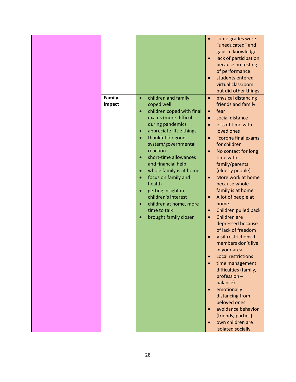| Family | children and family<br>$\bullet$                                                                                                                                                                                                                                                                                                                                                                    | some grades were<br>$\bullet$<br>"uneducated" and<br>gaps in knowledge<br>lack of participation<br>$\bullet$<br>because no testing<br>of performance<br>students entered<br>$\bullet$<br>virtual classroom<br>but did other things<br>physical distancing<br>$\bullet$                                                                                                                                                                                                                                                                                                                                                                                                                                                                                                                                                                                                  |
|--------|-----------------------------------------------------------------------------------------------------------------------------------------------------------------------------------------------------------------------------------------------------------------------------------------------------------------------------------------------------------------------------------------------------|-------------------------------------------------------------------------------------------------------------------------------------------------------------------------------------------------------------------------------------------------------------------------------------------------------------------------------------------------------------------------------------------------------------------------------------------------------------------------------------------------------------------------------------------------------------------------------------------------------------------------------------------------------------------------------------------------------------------------------------------------------------------------------------------------------------------------------------------------------------------------|
| Impact | coped well<br>children coped with final<br>exams (more difficult<br>during pandemic)<br>appreciate little things<br>thankful for good<br>system/governmental<br>reaction<br>short-time allowances<br>and financial help<br>whole family is at home<br>focus on family and<br>health<br>getting insight in<br>children's interest<br>children at home, more<br>time to talk<br>brought family closer | friends and family<br>fear<br>$\bullet$<br>social distance<br>$\bullet$<br>loss of time with<br>$\bullet$<br>loved ones<br>"corona final exams"<br>$\bullet$<br>for children<br>No contact for long<br>$\bullet$<br>time with<br>family/parents<br>(elderly people)<br>More work at home<br>$\bullet$<br>because whole<br>family is at home<br>A lot of people at<br>$\bullet$<br>home<br>Children pulled back<br>$\bullet$<br>Children are<br>$\bullet$<br>depressed because<br>of lack of freedom<br>Visit restrictions if<br>$\bullet$<br>members don't live<br>in your area<br><b>Local restrictions</b><br>$\bullet$<br>time management<br>$\bullet$<br>difficulties (family,<br>profession -<br>balance)<br>emotionally<br>$\bullet$<br>distancing from<br>beloved ones<br>avoidance behavior<br>$\bullet$<br>(friends, parties)<br>own children are<br>$\bullet$ |
|        |                                                                                                                                                                                                                                                                                                                                                                                                     | isolated socially                                                                                                                                                                                                                                                                                                                                                                                                                                                                                                                                                                                                                                                                                                                                                                                                                                                       |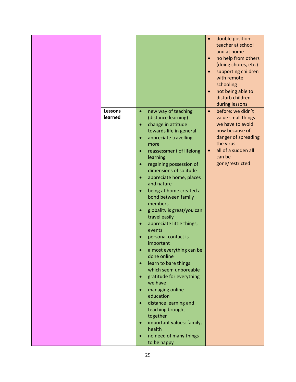|                |                                         | double position:<br>$\bullet$    |
|----------------|-----------------------------------------|----------------------------------|
|                |                                         | teacher at school                |
|                |                                         | and at home                      |
|                |                                         | no help from others<br>$\bullet$ |
|                |                                         | (doing chores, etc.)             |
|                |                                         | supporting children<br>$\bullet$ |
|                |                                         | with remote                      |
|                |                                         | schooling                        |
|                |                                         |                                  |
|                |                                         | not being able to<br>$\bullet$   |
|                |                                         | disturb children                 |
|                |                                         | during lessons                   |
| <b>Lessons</b> | new way of teaching<br>$\bullet$        | before: we didn't<br>$\bullet$   |
| learned        | (distance learning)                     | value small things               |
|                | change in attitude<br>$\bullet$         | we have to avoid                 |
|                | towards life in general                 | now because of                   |
|                | appreciate travelling<br>$\bullet$      | danger of spreading              |
|                | more                                    | the virus                        |
|                | reassessment of lifelong<br>$\bullet$   | all of a sudden all              |
|                | learning                                | can be                           |
|                | regaining possession of<br>$\bullet$    | gone/restricted                  |
|                | dimensions of solitude                  |                                  |
|                | appreciate home, places<br>$\bullet$    |                                  |
|                | and nature                              |                                  |
|                |                                         |                                  |
|                | being at home created a<br>$\bullet$    |                                  |
|                | bond between family                     |                                  |
|                | members                                 |                                  |
|                | globality is great/you can<br>$\bullet$ |                                  |
|                | travel easily                           |                                  |
|                | appreciate little things,<br>$\bullet$  |                                  |
|                | events                                  |                                  |
|                | personal contact is                     |                                  |
|                | important                               |                                  |
|                | almost everything can be                |                                  |
|                | done online                             |                                  |
|                | learn to bare things<br>$\bullet$       |                                  |
|                | which seem unboreable                   |                                  |
|                | gratitude for everything<br>$\bullet$   |                                  |
|                | we have                                 |                                  |
|                | managing online<br>$\bullet$            |                                  |
|                | education                               |                                  |
|                | distance learning and<br>$\bullet$      |                                  |
|                | teaching brought                        |                                  |
|                | together                                |                                  |
|                |                                         |                                  |
|                | important values: family,<br>health     |                                  |
|                |                                         |                                  |
|                | no need of many things<br>$\bullet$     |                                  |
|                | to be happy                             |                                  |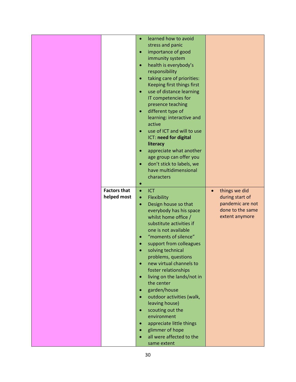|                     | learned how to avoid<br>$\bullet$       |                            |
|---------------------|-----------------------------------------|----------------------------|
|                     | stress and panic                        |                            |
|                     | importance of good<br>$\bullet$         |                            |
|                     | immunity system                         |                            |
|                     | health is everybody's<br>$\bullet$      |                            |
|                     | responsibility                          |                            |
|                     | taking care of priorities:<br>$\bullet$ |                            |
|                     | Keeping first things first              |                            |
|                     | use of distance learning<br>$\bullet$   |                            |
|                     | IT competencies for                     |                            |
|                     |                                         |                            |
|                     | presence teaching                       |                            |
|                     | different type of<br>$\bullet$          |                            |
|                     | learning: interactive and               |                            |
|                     | active                                  |                            |
|                     | use of ICT and will to use<br>$\bullet$ |                            |
|                     | ICT: need for digital                   |                            |
|                     | literacy                                |                            |
|                     | appreciate what another<br>$\bullet$    |                            |
|                     | age group can offer you                 |                            |
|                     | don't stick to labels, we<br>$\bullet$  |                            |
|                     | have multidimensional                   |                            |
|                     | characters                              |                            |
|                     | $\bullet$                               |                            |
| <b>Factors that</b> | $\bullet$<br>ICT                        | things we did<br>$\bullet$ |
| helped most         |                                         | during start of            |
|                     | Flexibility<br>$\bullet$                |                            |
|                     | Design house so that<br>$\bullet$       | pandemic are not           |
|                     | everybody has his space                 | done to the same           |
|                     | whilst home office /                    | extent anymore             |
|                     | substitute activities if                |                            |
|                     | one is not available                    |                            |
|                     | "moments of silence"                    |                            |
|                     | support from colleagues                 |                            |
|                     | solving technical                       |                            |
|                     | problems, questions                     |                            |
|                     | new virtual channels to<br>$\bullet$    |                            |
|                     | foster relationships                    |                            |
|                     | living on the lands/not in<br>$\bullet$ |                            |
|                     | the center                              |                            |
|                     | garden/house<br>$\bullet$               |                            |
|                     | outdoor activities (walk,<br>$\bullet$  |                            |
|                     | leaving house)                          |                            |
|                     | $\bullet$                               |                            |
|                     | scouting out the                        |                            |
|                     | environment                             |                            |
|                     | appreciate little things<br>$\bullet$   |                            |
|                     | glimmer of hope                         |                            |
|                     | all were affected to the<br>$\bullet$   |                            |
|                     | same extent                             |                            |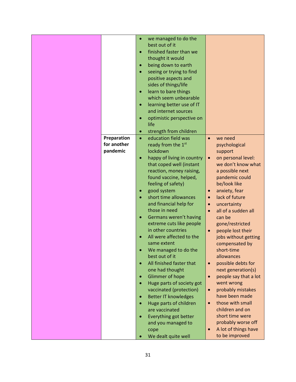|             | we managed to do the<br>$\bullet$        |                                    |
|-------------|------------------------------------------|------------------------------------|
|             | best out of it                           |                                    |
|             | finished faster than we<br>$\bullet$     |                                    |
|             | thought it would                         |                                    |
|             | being down to earth<br>$\bullet$         |                                    |
|             | seeing or trying to find                 |                                    |
|             | positive aspects and                     |                                    |
|             | sides of things/life                     |                                    |
|             | learn to bare things<br>$\bullet$        |                                    |
|             | which seem unbearable                    |                                    |
|             | learning better use of IT<br>$\bullet$   |                                    |
|             | and internet sources                     |                                    |
|             | optimistic perspective on                |                                    |
|             | life                                     |                                    |
|             | strength from children<br>$\bullet$      |                                    |
| Preparation | education field was<br>$\bullet$         | we need<br>$\bullet$               |
| for another | ready from the 1st                       |                                    |
|             |                                          | psychological                      |
| pandemic    | lockdown                                 | support                            |
|             | happy of living in country<br>$\bullet$  | on personal level:<br>$\bullet$    |
|             | that coped well (instant                 | we don't know what                 |
|             | reaction, money raising,                 | a possible next                    |
|             | found vaccine, helped,                   | pandemic could                     |
|             | feeling of safety)                       | be/look like                       |
|             | good system<br>$\bullet$                 | anxiety, fear<br>$\bullet$         |
|             | short time allowances                    | lack of future<br>$\bullet$        |
|             | and financial help for                   | uncertainty<br>$\bullet$           |
|             | those in need                            | all of a sudden all                |
|             | Germans weren't having<br>$\bullet$      | can be                             |
|             | extreme cuts like people                 | gone/restricted                    |
|             | in other countries                       | people lost their<br>$\bullet$     |
|             | All were affected to the                 | jobs without getting               |
|             | same extent                              | compensated by                     |
|             | We managed to do the                     | short-time                         |
|             | best out of it                           | allowances                         |
|             | All finished faster that<br>$\bullet$    | possible debts for<br>$\bullet$    |
|             | one had thought                          | next generation(s)                 |
|             | Glimmer of hope<br>$\bullet$             | people say that a lot<br>$\bullet$ |
|             |                                          | went wrong                         |
|             | Huge parts of society got<br>$\bullet$   |                                    |
|             | vaccinated (protection)                  | probably mistakes<br>$\bullet$     |
|             | <b>Better IT knowledges</b><br>$\bullet$ | have been made                     |
|             | Huge parts of children                   | those with small<br>$\bullet$      |
|             | are vaccinated                           | children and on                    |
|             | Everything got better<br>$\bullet$       | short time were                    |
|             | and you managed to                       | probably worse off                 |
|             | cope                                     | A lot of things have<br>$\bullet$  |
|             | We dealt quite well<br>$\bullet$         | to be improved                     |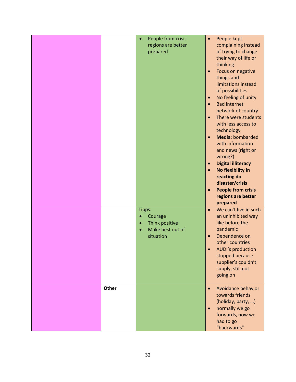|              | People from crisis<br>regions are better<br>prepared                              | People kept<br>$\bullet$<br>complaining instead<br>of trying to change<br>their way of life or<br>thinking<br>Focus on negative<br>$\bullet$<br>things and<br>limitations instead<br>of possibilities<br>No feeling of unity<br>$\bullet$<br><b>Bad internet</b><br>$\bullet$<br>network of country<br>There were students<br>$\bullet$<br>with less access to<br>technology<br>Media: bombarded<br>$\bullet$<br>with information<br>and news (right or<br>wrong?)<br><b>Digital illiteracy</b><br>$\bullet$<br>No flexibility in<br>$\bullet$<br>reacting do<br>disaster/crisis<br><b>People from crisis</b><br>$\bullet$<br>regions are better<br>prepared |
|--------------|-----------------------------------------------------------------------------------|--------------------------------------------------------------------------------------------------------------------------------------------------------------------------------------------------------------------------------------------------------------------------------------------------------------------------------------------------------------------------------------------------------------------------------------------------------------------------------------------------------------------------------------------------------------------------------------------------------------------------------------------------------------|
| <b>Other</b> | Tipps:<br>Courage<br>$\bullet$<br>Think positive<br>Make best out of<br>situation | We can't live in such<br>$\bullet$<br>an uninhibited way<br>like before the<br>pandemic<br>Dependence on<br>$\bullet$<br>other countries<br><b>AUDI's production</b><br>stopped because<br>supplier's couldn't<br>supply, still not<br>going on<br>Avoidance behavior<br>$\bullet$                                                                                                                                                                                                                                                                                                                                                                           |
|              |                                                                                   | towards friends<br>(holiday, party, )<br>normally we go<br>$\bullet$<br>forwards, now we<br>had to go<br>"backwards"                                                                                                                                                                                                                                                                                                                                                                                                                                                                                                                                         |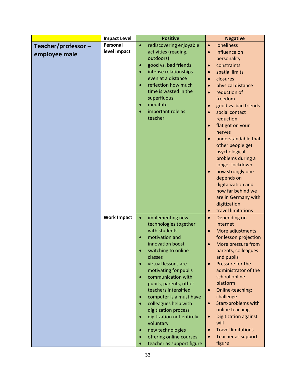|                     | <b>Impact Level</b> | <b>Positive</b>                        | <b>Negative</b>                                        |
|---------------------|---------------------|----------------------------------------|--------------------------------------------------------|
| Teacher/professor - | Personal            | rediscovering enjoyable<br>$\bullet$   | <b>loneliness</b><br>$\bullet$                         |
| employee male       | level impact        | activities (reading,                   | influence on<br>$\bullet$                              |
|                     |                     | outdoors)                              | personality                                            |
|                     |                     | good vs. bad friends<br>$\bullet$      | constraints<br>$\bullet$                               |
|                     |                     | intense relationships                  | spatial limits<br>$\bullet$                            |
|                     |                     | even at a distance                     | closures<br>$\bullet$                                  |
|                     |                     | reflection how much                    | physical distance<br>$\bullet$                         |
|                     |                     | time is wasted in the                  | reduction of<br>$\bullet$                              |
|                     |                     | superfluous                            | freedom                                                |
|                     |                     | meditate<br>$\bullet$                  | good vs. bad friends<br>$\bullet$                      |
|                     |                     | important role as                      | social contact<br>$\bullet$                            |
|                     |                     | teacher                                | reduction                                              |
|                     |                     |                                        | flat got on your<br>$\bullet$                          |
|                     |                     |                                        | nerves                                                 |
|                     |                     |                                        | understandable that<br>$\bullet$                       |
|                     |                     |                                        | other people get                                       |
|                     |                     |                                        | psychological                                          |
|                     |                     |                                        | problems during a                                      |
|                     |                     |                                        | longer lockdown                                        |
|                     |                     |                                        | how strongly one<br>$\bullet$                          |
|                     |                     |                                        | depends on                                             |
|                     |                     |                                        | digitalization and                                     |
|                     |                     |                                        | how far behind we                                      |
|                     |                     |                                        | are in Germany with                                    |
|                     |                     |                                        | digitization                                           |
|                     |                     |                                        | travel limitations<br>$\bullet$                        |
|                     | <b>Work Impact</b>  | implementing new<br>$\bullet$          | Depending on<br>$\bullet$                              |
|                     |                     | technologies together<br>with students | internet                                               |
|                     |                     | motivation and                         | More adjustments<br>$\bullet$<br>for lesson projection |
|                     |                     | innovation boost                       | More pressure from<br>$\bullet$                        |
|                     |                     | switching to online                    | parents, colleagues                                    |
|                     |                     | classes                                | and pupils                                             |
|                     |                     | virtual lessons are                    | Pressure for the<br>$\bullet$                          |
|                     |                     | motivating for pupils                  | administrator of the                                   |
|                     |                     | communication with<br>$\bullet$        | school online                                          |
|                     |                     | pupils, parents, other                 | platform                                               |
|                     |                     | teachers intensified                   | Online-teaching:<br>$\bullet$                          |
|                     |                     | computer is a must have                | challenge                                              |
|                     |                     | colleagues help with                   | Start-problems with<br>$\bullet$                       |
|                     |                     | digitization process                   | online teaching                                        |
|                     |                     | digitization not entirely<br>$\bullet$ | <b>Digitization against</b><br>$\bullet$               |
|                     |                     | voluntary                              | will                                                   |
|                     |                     | new technologies                       | <b>Travel limitations</b><br>$\bullet$                 |
|                     |                     | offering online courses                | Teacher as support<br>$\bullet$                        |
|                     |                     | teacher as support figure              | figure                                                 |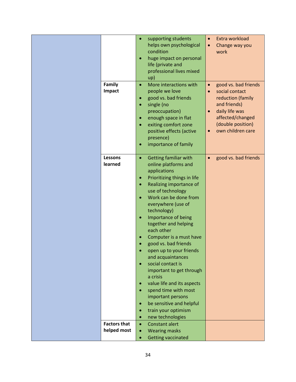| Family<br>Impact                   | $\bullet$<br>$\bullet$<br>$\bullet$<br>$\bullet$<br>$\bullet$<br>$\bullet$<br>$\bullet$                                | supporting students<br>helps own psychological<br>condition<br>huge impact on personal<br>life (private and<br>professional lives mixed<br>up)<br>More interactions with<br>people we love<br>good vs. bad friends<br>single (no<br>preoccupation)<br>enough space in flat<br>exiting comfort zone<br>positive effects (active<br>presence)<br>importance of family                                                                                                                                                                                                                              | $\bullet$<br>$\bullet$<br>$\bullet$<br>$\bullet$ | Extra workload<br>Change way you<br>work<br>good vs. bad friends<br>social contact<br>reduction (family<br>and friends)<br>daily life was<br>affected/changed<br>(double position)<br>own children care |
|------------------------------------|------------------------------------------------------------------------------------------------------------------------|--------------------------------------------------------------------------------------------------------------------------------------------------------------------------------------------------------------------------------------------------------------------------------------------------------------------------------------------------------------------------------------------------------------------------------------------------------------------------------------------------------------------------------------------------------------------------------------------------|--------------------------------------------------|---------------------------------------------------------------------------------------------------------------------------------------------------------------------------------------------------------|
| <b>Lessons</b><br>learned          | $\bullet$<br>$\bullet$<br>$\bullet$<br>$\bullet$<br>٠<br>$\bullet$<br>$\bullet$<br>$\bullet$<br>$\bullet$<br>$\bullet$ | <b>Getting familiar with</b><br>online platforms and<br>applications<br>Prioritizing things in life<br>Realizing importance of<br>use of technology<br>Work can be done from<br>everywhere (use of<br>technology)<br>Importance of being<br>together and helping<br>each other<br>Computer is a must have<br>good vs. bad friends<br>open up to your friends<br>and acquaintances<br>social contact is<br>important to get through<br>a crisis<br>value life and its aspects<br>spend time with most<br>important persons<br>be sensitive and helpful<br>train your optimism<br>new technologies | $\bullet$                                        | good vs. bad friends                                                                                                                                                                                    |
| <b>Factors that</b><br>helped most | $\bullet$<br>$\bullet$                                                                                                 | <b>Constant alert</b><br><b>Wearing masks</b>                                                                                                                                                                                                                                                                                                                                                                                                                                                                                                                                                    |                                                  |                                                                                                                                                                                                         |
|                                    | $\bullet$                                                                                                              | <b>Getting vaccinated</b>                                                                                                                                                                                                                                                                                                                                                                                                                                                                                                                                                                        |                                                  |                                                                                                                                                                                                         |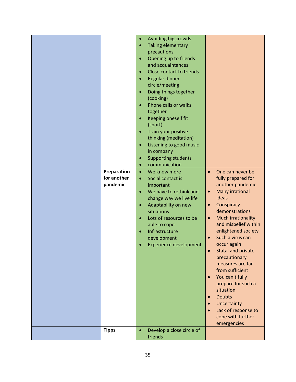|              | $\bullet$ | Avoiding big crowds           |                        |                                          |
|--------------|-----------|-------------------------------|------------------------|------------------------------------------|
|              | $\bullet$ | <b>Taking elementary</b>      |                        |                                          |
|              |           | precautions                   |                        |                                          |
|              |           | Opening up to friends         |                        |                                          |
|              |           | and acquaintances             |                        |                                          |
|              |           | Close contact to friends      |                        |                                          |
|              |           | Regular dinner                |                        |                                          |
|              |           | circle/meeting                |                        |                                          |
|              |           | Doing things together         |                        |                                          |
|              |           | (cooking)                     |                        |                                          |
|              |           | Phone calls or walks          |                        |                                          |
|              |           | together                      |                        |                                          |
|              | $\bullet$ | Keeping oneself fit           |                        |                                          |
|              |           | (sport)                       |                        |                                          |
|              |           | Train your positive           |                        |                                          |
|              |           | thinking (meditation)         |                        |                                          |
|              | $\bullet$ | Listening to good music       |                        |                                          |
|              |           | in company                    |                        |                                          |
|              |           | <b>Supporting students</b>    |                        |                                          |
|              |           | communication                 |                        |                                          |
| Preparation  | $\bullet$ | We know more                  | $\bullet$              | One can never be                         |
| for another  | $\bullet$ | Social contact is             |                        | fully prepared for                       |
| pandemic     |           | important                     |                        | another pandemic                         |
|              | $\bullet$ | We have to rethink and        | $\bullet$              | Many irrational                          |
|              |           | change way we live life       |                        | ideas                                    |
|              | $\bullet$ | Adaptability on new           | $\bullet$              | Conspiracy                               |
|              |           | situations                    |                        | demonstrations                           |
|              |           | Lots of resources to be       | $\bullet$              | Much irrationality                       |
|              |           | able to cope                  |                        | and misbelief within                     |
|              | $\bullet$ | Infrastructure                |                        | enlightened society                      |
|              |           | development                   | $\bullet$              | Such a virus can                         |
|              |           | <b>Experience development</b> |                        | occur again                              |
|              |           |                               |                        | <b>Statal and private</b>                |
|              |           |                               |                        | precautionary                            |
|              |           |                               |                        | measures are far<br>from sufficient      |
|              |           |                               |                        |                                          |
|              |           |                               | $\bullet$              | You can't fully                          |
|              |           |                               |                        | prepare for such a<br>situation          |
|              |           |                               |                        | <b>Doubts</b>                            |
|              |           |                               | $\bullet$              |                                          |
|              |           |                               | $\bullet$<br>$\bullet$ | Uncertainty                              |
|              |           |                               |                        | Lack of response to<br>cope with further |
|              |           |                               |                        | emergencies                              |
| <b>Tipps</b> | $\bullet$ | Develop a close circle of     |                        |                                          |
|              |           | friends                       |                        |                                          |
|              |           |                               |                        |                                          |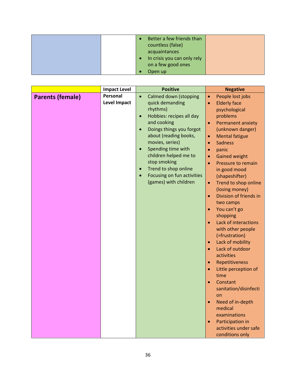|           | Better a few friends than<br>countless (false)<br>acquaintances |  |
|-----------|-----------------------------------------------------------------|--|
| $\bullet$ | In crisis you can only rely<br>on a few good ones               |  |
|           | Open up                                                         |  |

|                         | <b>Impact Level</b> |           | <b>Positive</b>            |           | <b>Negative</b>                     |
|-------------------------|---------------------|-----------|----------------------------|-----------|-------------------------------------|
| <b>Parents (female)</b> | Personal            | $\bullet$ | Calmed down (stopping      | $\bullet$ | People lost jobs                    |
|                         | <b>Level Impact</b> |           | quick demanding            | $\bullet$ | <b>Elderly face</b>                 |
|                         |                     |           | rhythms)                   |           | psychological                       |
|                         |                     | $\bullet$ | Hobbies: recipes all day   |           | problems                            |
|                         |                     |           | and cooking                | $\bullet$ | <b>Permanent anxiety</b>            |
|                         |                     | $\bullet$ | Doings things you forgot   |           | (unknown danger)                    |
|                         |                     |           | about (reading books,      | $\bullet$ | <b>Mental fatigue</b>               |
|                         |                     |           | movies, series)            | $\bullet$ | <b>Sadness</b>                      |
|                         |                     | $\bullet$ | Spending time with         |           | panic                               |
|                         |                     |           | children helped me to      |           | <b>Gained weight</b>                |
|                         |                     |           | stop smoking               | $\bullet$ | Pressure to remain                  |
|                         |                     | $\bullet$ | Trend to shop online       |           | in good mood                        |
|                         |                     | $\bullet$ | Focusing on fun activities |           | (shapeshifter)                      |
|                         |                     |           | (games) with children      | $\bullet$ | Trend to shop online                |
|                         |                     |           |                            |           | (losing money)                      |
|                         |                     |           |                            | $\bullet$ | Division of friends in              |
|                         |                     |           |                            |           | two camps                           |
|                         |                     |           |                            | $\bullet$ | You can't go                        |
|                         |                     |           |                            |           | shopping                            |
|                         |                     |           |                            | $\bullet$ | Lack of interactions                |
|                         |                     |           |                            |           | with other people                   |
|                         |                     |           |                            |           | (=frustration)                      |
|                         |                     |           |                            | $\bullet$ | Lack of mobility<br>Lack of outdoor |
|                         |                     |           |                            | $\bullet$ | activities                          |
|                         |                     |           |                            | $\bullet$ | Repetitiveness                      |
|                         |                     |           |                            | $\bullet$ | Little perception of                |
|                         |                     |           |                            |           | time                                |
|                         |                     |           |                            | $\bullet$ | Constant                            |
|                         |                     |           |                            |           | sanitation/disinfecti               |
|                         |                     |           |                            |           | on                                  |
|                         |                     |           |                            | $\bullet$ | Need of in-depth                    |
|                         |                     |           |                            |           | medical                             |
|                         |                     |           |                            |           | examinations                        |
|                         |                     |           |                            |           | Participation in                    |
|                         |                     |           |                            |           | activities under safe               |
|                         |                     |           |                            |           | conditions only                     |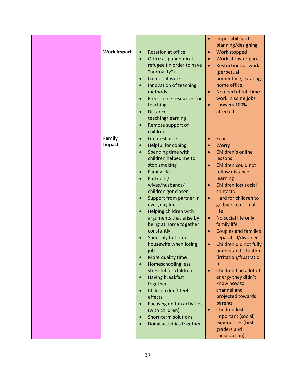|                    |           |                                             | $\bullet$ | Impossibility of<br>planning/designing       |
|--------------------|-----------|---------------------------------------------|-----------|----------------------------------------------|
| <b>Work Impact</b> |           | <b>Rotation at office</b>                   | $\bullet$ | Work stopped                                 |
|                    |           | Office as pandemical                        | $\bullet$ | Work at faster pace                          |
|                    |           | refugee (in order to have                   | $\bullet$ | <b>Restrictions at work</b>                  |
|                    |           | "normality")                                |           | (perpetual                                   |
|                    |           | Calmer at work                              |           | homeoffice, rotating                         |
|                    |           | Innovation of teaching                      |           | home office)                                 |
|                    |           | methods                                     |           | No need of full-time-                        |
|                    |           | Free online resources for                   |           | work in some jobs                            |
|                    |           | teaching                                    | $\bullet$ | Lawyers 100%                                 |
|                    |           | <b>Distance</b>                             |           | affected                                     |
|                    |           | teaching/learning                           |           |                                              |
|                    |           | Remote support of                           |           |                                              |
|                    |           | children                                    |           |                                              |
| Family             |           | <b>Greatest asset</b>                       | $\bullet$ | Fear                                         |
| Impact             |           | <b>Helpful for coping</b>                   | $\bullet$ | Worry                                        |
|                    |           | Spending time with                          |           | Children's online                            |
|                    |           | children helped me to                       |           | lessons                                      |
|                    |           | stop smoking                                | $\bullet$ | Children could not                           |
|                    |           | <b>Family life</b>                          |           | follow distance                              |
|                    |           | Partners /                                  |           | learning                                     |
|                    |           | wives/husbands/                             |           | Children lost social                         |
|                    |           | children got closer                         |           | contacts                                     |
|                    |           | Support from partner in                     | $\bullet$ | Hard for children to                         |
|                    |           | everyday life                               |           | go back to normal                            |
|                    |           | Helping children with                       |           | life                                         |
|                    |           | arguments that arise by                     | $\bullet$ | No social life only                          |
|                    |           | being at home together                      |           | family life                                  |
|                    |           | constantly                                  | $\bullet$ | <b>Couples and families</b>                  |
|                    |           | Suddenly full-time<br>housewife when losing |           | separated/divorced<br>Children did not fully |
|                    |           | job                                         | $\bullet$ | understand situation                         |
|                    |           | More quality time                           |           | (irritation/frustratio                       |
|                    | $\bullet$ | Homeschooling less                          |           | n)                                           |
|                    |           | stressful for children                      | $\bullet$ | Children had a lot of                        |
|                    |           | Having breakfast                            |           | energy they didn't                           |
|                    |           | together                                    |           | know how to                                  |
|                    |           | Children don't feel                         |           | channel and                                  |
|                    |           | effects                                     |           | projected towards                            |
|                    |           | Focusing on fun activities                  |           | parents                                      |
|                    |           | (with children)                             | $\bullet$ | <b>Children lost</b>                         |
|                    |           | Short-term solutions                        |           | important (social)                           |
|                    |           | Doing activities together                   |           | experiences (first                           |
|                    |           |                                             |           | graders and                                  |
|                    |           |                                             |           | socialization)                               |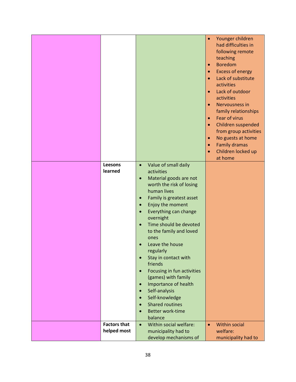| Leesons<br>learned                 | Value of small daily<br>$\bullet$<br>activities            | $\bullet$<br>$\bullet$<br>$\bullet$<br>$\bullet$<br>$\bullet$<br>$\bullet$<br>$\bullet$<br>$\bullet$<br>$\bullet$<br>$\bullet$<br>$\bullet$ | Younger children<br>had difficulties in<br>following remote<br>teaching<br><b>Boredom</b><br><b>Excess of energy</b><br>Lack of substitute<br>activities<br>Lack of outdoor<br>activities<br>Nervousness in<br>family relationships<br>Fear of virus<br>Children suspended<br>from group activities<br>No guests at home<br><b>Family dramas</b><br>Children locked up<br>at home |
|------------------------------------|------------------------------------------------------------|---------------------------------------------------------------------------------------------------------------------------------------------|-----------------------------------------------------------------------------------------------------------------------------------------------------------------------------------------------------------------------------------------------------------------------------------------------------------------------------------------------------------------------------------|
|                                    | Material goods are not<br>$\bullet$                        |                                                                                                                                             |                                                                                                                                                                                                                                                                                                                                                                                   |
|                                    | worth the risk of losing                                   |                                                                                                                                             |                                                                                                                                                                                                                                                                                                                                                                                   |
|                                    | human lives                                                |                                                                                                                                             |                                                                                                                                                                                                                                                                                                                                                                                   |
|                                    | Family is greatest asset<br>$\bullet$<br>Enjoy the moment  |                                                                                                                                             |                                                                                                                                                                                                                                                                                                                                                                                   |
|                                    | Everything can change                                      |                                                                                                                                             |                                                                                                                                                                                                                                                                                                                                                                                   |
|                                    | overnight                                                  |                                                                                                                                             |                                                                                                                                                                                                                                                                                                                                                                                   |
|                                    | Time should be devoted                                     |                                                                                                                                             |                                                                                                                                                                                                                                                                                                                                                                                   |
|                                    | to the family and loved                                    |                                                                                                                                             |                                                                                                                                                                                                                                                                                                                                                                                   |
|                                    | ones                                                       |                                                                                                                                             |                                                                                                                                                                                                                                                                                                                                                                                   |
|                                    | Leave the house<br>regularly                               |                                                                                                                                             |                                                                                                                                                                                                                                                                                                                                                                                   |
|                                    | Stay in contact with<br>$\bullet$                          |                                                                                                                                             |                                                                                                                                                                                                                                                                                                                                                                                   |
|                                    | friends                                                    |                                                                                                                                             |                                                                                                                                                                                                                                                                                                                                                                                   |
|                                    | Focusing in fun activities<br>$\bullet$                    |                                                                                                                                             |                                                                                                                                                                                                                                                                                                                                                                                   |
|                                    | (games) with family<br>Importance of health<br>$\bullet$   |                                                                                                                                             |                                                                                                                                                                                                                                                                                                                                                                                   |
|                                    | Self-analysis                                              |                                                                                                                                             |                                                                                                                                                                                                                                                                                                                                                                                   |
|                                    | Self-knowledge                                             |                                                                                                                                             |                                                                                                                                                                                                                                                                                                                                                                                   |
|                                    | <b>Shared routines</b>                                     |                                                                                                                                             |                                                                                                                                                                                                                                                                                                                                                                                   |
|                                    | Better work-time                                           |                                                                                                                                             |                                                                                                                                                                                                                                                                                                                                                                                   |
|                                    | balance                                                    |                                                                                                                                             |                                                                                                                                                                                                                                                                                                                                                                                   |
| <b>Factors that</b><br>helped most | Within social welfare:<br>$\bullet$<br>municipality had to | $\bullet$                                                                                                                                   | <b>Within social</b><br>welfare:                                                                                                                                                                                                                                                                                                                                                  |
|                                    | develop mechanisms of                                      |                                                                                                                                             | municipality had to                                                                                                                                                                                                                                                                                                                                                               |
|                                    |                                                            |                                                                                                                                             |                                                                                                                                                                                                                                                                                                                                                                                   |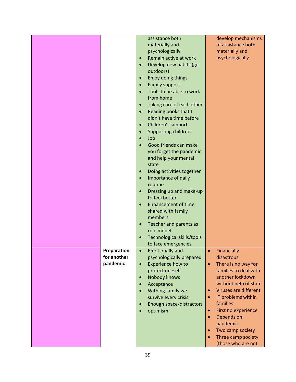|             | assistance both                                    | develop mechanisms                 |
|-------------|----------------------------------------------------|------------------------------------|
|             | materially and                                     | of assistance both                 |
|             | psychologically                                    | materially and                     |
|             | Remain active at work<br>$\bullet$                 | psychologically                    |
|             | Develop new habits (go<br>$\bullet$                |                                    |
|             | outdoors)                                          |                                    |
|             | Enjoy doing things<br>$\bullet$                    |                                    |
|             | <b>Family support</b><br>$\bullet$                 |                                    |
|             | Tools to be able to work<br>$\bullet$              |                                    |
|             | from home                                          |                                    |
|             | Taking care of each other<br>$\bullet$             |                                    |
|             | Reading books that I<br>$\bullet$                  |                                    |
|             | didn't have time before                            |                                    |
|             | Children's support<br>$\bullet$                    |                                    |
|             | Supporting children<br>$\bullet$                   |                                    |
|             | Job<br>$\bullet$                                   |                                    |
|             | Good friends can make                              |                                    |
|             | you forget the pandemic                            |                                    |
|             | and help your mental                               |                                    |
|             | state                                              |                                    |
|             | Doing activities together<br>$\bullet$             |                                    |
|             | Importance of daily<br>$\bullet$                   |                                    |
|             | routine                                            |                                    |
|             | Dressing up and make-up<br>$\bullet$               |                                    |
|             | to feel better                                     |                                    |
|             | <b>Enhancement of time</b><br>$\bullet$            |                                    |
|             | shared with family                                 |                                    |
|             | members                                            |                                    |
|             | Teacher and parents as<br>$\bullet$                |                                    |
|             | role model                                         |                                    |
|             | Technological skills/tools<br>$\bullet$            |                                    |
| Preparation | to face emergencies                                |                                    |
| for another | <b>Emotionally and</b><br>psychologically prepared | Financially<br>disastrous          |
| pandemic    | Experience how to<br>$\bullet$                     | There is no way for<br>$\bullet$   |
|             | protect oneself                                    | families to deal with              |
|             | Nobody knows<br>$\bullet$                          | another lockdown                   |
|             | Acceptance<br>$\bullet$                            | without help of state              |
|             | Withing family we<br>$\bullet$                     | Viruses are different<br>$\bullet$ |
|             | survive every crisis                               | IT problems within<br>$\bullet$    |
|             | Enough space/distractors<br>$\bullet$              | families                           |
|             | optimism<br>$\bullet$                              | First no experience<br>$\bullet$   |
|             |                                                    | Depends on<br>$\bullet$            |
|             |                                                    | pandemic                           |
|             |                                                    | Two camp society<br>$\bullet$      |
|             |                                                    | Three camp society<br>$\bullet$    |
|             |                                                    | (those who are not                 |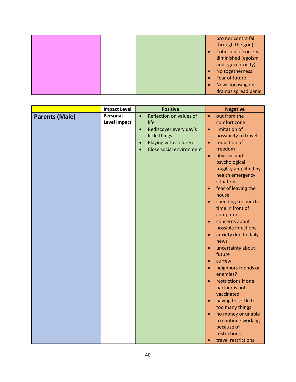|  |  | pro nor contra fall |
|--|--|---------------------|
|  |  | through the grid)   |
|  |  | Cohesion of society |
|  |  | diminished (egoism  |
|  |  | and egocentricity)  |
|  |  | No togetherness     |
|  |  | Fear of future      |
|  |  | News focusing on    |
|  |  | dramas spread panic |

|                       | <b>Impact Level</b> |           | <b>Positive</b>          |           | <b>Negative</b>                           |
|-----------------------|---------------------|-----------|--------------------------|-----------|-------------------------------------------|
| <b>Parents (Male)</b> | Personal            | $\bullet$ | Reflection on values of  | $\bullet$ | out from the                              |
|                       | <b>Level Impact</b> |           | life                     |           | comfort zone                              |
|                       |                     | $\bullet$ | Rediscover every day's   | $\bullet$ | limitation of                             |
|                       |                     |           | little things            |           | possibility to travel                     |
|                       |                     | $\bullet$ | Playing with children    | $\bullet$ | reduction of                              |
|                       |                     | $\bullet$ | Close social environment |           | freedom                                   |
|                       |                     |           |                          | $\bullet$ | physical and                              |
|                       |                     |           |                          |           | psychological                             |
|                       |                     |           |                          |           | fragility amplified by                    |
|                       |                     |           |                          |           | health emergency                          |
|                       |                     |           |                          |           | situation                                 |
|                       |                     |           |                          | $\bullet$ | fear of leaving the                       |
|                       |                     |           |                          |           | house                                     |
|                       |                     |           |                          | $\bullet$ | spending too much                         |
|                       |                     |           |                          |           | time in front of                          |
|                       |                     |           |                          |           | computer                                  |
|                       |                     |           |                          | $\bullet$ | concerns about                            |
|                       |                     |           |                          |           | possible infections                       |
|                       |                     |           |                          | $\bullet$ | anxiety due to daily                      |
|                       |                     |           |                          |           | news                                      |
|                       |                     |           |                          | $\bullet$ | uncertainty about                         |
|                       |                     |           |                          |           | future                                    |
|                       |                     |           |                          | $\bullet$ | curfew                                    |
|                       |                     |           |                          | $\bullet$ | neighbors friends or                      |
|                       |                     |           |                          |           | enemies?                                  |
|                       |                     |           |                          | $\bullet$ | restrictions if one                       |
|                       |                     |           |                          |           | partner is not                            |
|                       |                     |           |                          |           | vaccinated                                |
|                       |                     |           |                          | $\bullet$ | having to settle to                       |
|                       |                     |           |                          |           | too many things                           |
|                       |                     |           |                          | $\bullet$ | no money or unable<br>to continue working |
|                       |                     |           |                          |           | because of                                |
|                       |                     |           |                          |           | restrictions                              |
|                       |                     |           |                          | $\bullet$ | travel restrictions                       |
|                       |                     |           |                          |           |                                           |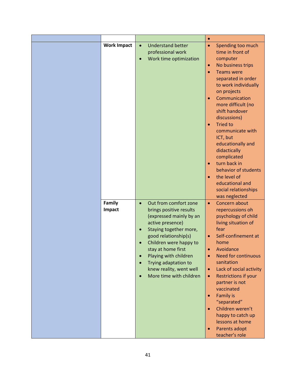|                    |           |                          | $\bullet$ |                             |
|--------------------|-----------|--------------------------|-----------|-----------------------------|
| <b>Work Impact</b> | $\bullet$ | <b>Understand better</b> | $\bullet$ | Spending too much           |
|                    |           | professional work        |           | time in front of            |
|                    | $\bullet$ | Work time optimization   |           | computer                    |
|                    |           |                          | $\bullet$ | No business trips           |
|                    |           |                          | $\bullet$ | <b>Teams were</b>           |
|                    |           |                          |           | separated in order          |
|                    |           |                          |           | to work individually        |
|                    |           |                          |           | on projects                 |
|                    |           |                          | $\bullet$ | Communication               |
|                    |           |                          |           | more difficult (no          |
|                    |           |                          |           | shift handover              |
|                    |           |                          |           | discussions)                |
|                    |           |                          | $\bullet$ | <b>Tried to</b>             |
|                    |           |                          |           | communicate with            |
|                    |           |                          |           | ICT, but                    |
|                    |           |                          |           | educationally and           |
|                    |           |                          |           | didactically<br>complicated |
|                    |           |                          | $\bullet$ | turn back in                |
|                    |           |                          |           | behavior of students        |
|                    |           |                          | $\bullet$ | the level of                |
|                    |           |                          |           | educational and             |
|                    |           |                          |           | social relationships        |
|                    |           |                          |           | was neglected               |
| Family             | $\bullet$ | Out from comfort zone    | $\bullet$ | Concern about               |
| Impact             |           | brings positive results  |           | repercussions oh            |
|                    |           | (expressed mainly by an  |           | psychology of child         |
|                    |           | active presence)         |           | living situation of         |
|                    | $\bullet$ | Staying together more,   |           | fear                        |
|                    |           | good relationship(s)     | $\bullet$ | Self-confinement at         |
|                    |           | Children were happy to   |           | home                        |
|                    |           | stay at home first       | $\bullet$ | Avoidance                   |
|                    | $\bullet$ | Playing with children    | $\bullet$ | <b>Need for continuous</b>  |
|                    |           | Trying adaptation to     |           | sanitation                  |
|                    |           | knew reality, went well  | $\bullet$ | Lack of social activity     |
|                    |           | More time with children  | $\bullet$ | <b>Restrictions if your</b> |
|                    |           |                          |           | partner is not              |
|                    |           |                          |           | vaccinated                  |
|                    |           |                          | $\bullet$ | <b>Family is</b>            |
|                    |           |                          |           | "separated"                 |
|                    |           |                          | $\bullet$ | Children weren't            |
|                    |           |                          |           | happy to catch up           |
|                    |           |                          |           | lessons at home             |
|                    |           |                          | $\bullet$ | Parents adopt               |
|                    |           |                          |           | teacher's role              |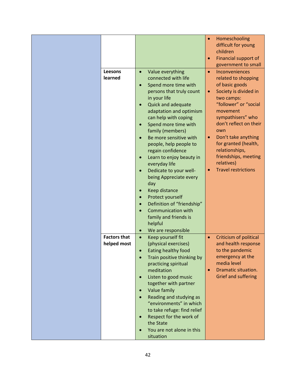| Leesons<br>learned                 | Value everything<br>$\bullet$<br>connected with life<br>Spend more time with<br>$\bullet$<br>persons that truly count<br>in your life<br><b>Quick and adequate</b><br>$\bullet$<br>adaptation and optimism<br>can help with coping<br>Spend more time with<br>$\bullet$<br>family (members)<br>Be more sensitive with<br>people, help people to<br>regain confidence<br>Learn to enjoy beauty in<br>$\bullet$<br>everyday life<br>Dedicate to your well-<br>$\bullet$<br>being Appreciate every<br>day<br>Keep distance<br>$\bullet$<br>Protect yourself<br>$\bullet$<br>Definition of "friendship"<br>$\bullet$<br><b>Communication with</b><br>family and friends is<br>helpful<br>We are responsible<br>$\bullet$ | Homeschooling<br>$\bullet$<br>difficult for young<br>children<br>Financial support of<br>$\bullet$<br>government to small<br>Inconveniences<br>$\bullet$<br>related to shopping<br>of basic goods<br>Society is divided in<br>$\bullet$<br>two camps:<br>"follower" or "social<br>movement<br>sympathisers" who<br>don't reflect on their<br>own<br>Don't take anything<br>$\bullet$<br>for granted (health,<br>relationships,<br>friendships, meeting<br>relatives)<br><b>Travel restrictions</b><br>$\bullet$ |
|------------------------------------|----------------------------------------------------------------------------------------------------------------------------------------------------------------------------------------------------------------------------------------------------------------------------------------------------------------------------------------------------------------------------------------------------------------------------------------------------------------------------------------------------------------------------------------------------------------------------------------------------------------------------------------------------------------------------------------------------------------------|-----------------------------------------------------------------------------------------------------------------------------------------------------------------------------------------------------------------------------------------------------------------------------------------------------------------------------------------------------------------------------------------------------------------------------------------------------------------------------------------------------------------|
| <b>Factors that</b><br>helped most | Keep yourself fit<br>$\bullet$<br>(physical exercises)<br>Eating healthy food<br>Train positive thinking by<br>practicing spiritual<br>meditation                                                                                                                                                                                                                                                                                                                                                                                                                                                                                                                                                                    | <b>Criticism of political</b><br>$\bullet$<br>and health response<br>to the pandemic<br>emergency at the<br>media level<br>Dramatic situation.<br>$\bullet$                                                                                                                                                                                                                                                                                                                                                     |
|                                    | Listen to good music<br>$\bullet$<br>together with partner<br>Value family<br>$\bullet$<br>Reading and studying as<br>$\bullet$<br>"environments" in which<br>to take refuge: find relief<br>Respect for the work of<br>$\bullet$<br>the State<br>You are not alone in this<br>$\bullet$<br>situation                                                                                                                                                                                                                                                                                                                                                                                                                | Grief and suffering                                                                                                                                                                                                                                                                                                                                                                                                                                                                                             |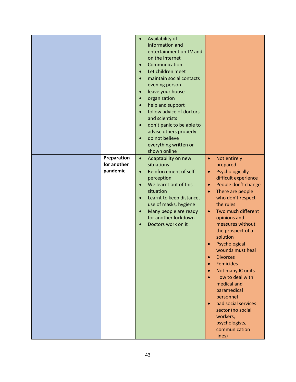| Preparation             | Availability of<br>$\bullet$<br>information and<br>entertainment on TV and<br>on the Internet<br>Communication<br>$\bullet$<br>Let children meet<br>maintain social contacts<br>evening person<br>leave your house<br>$\bullet$<br>organization<br>help and support<br>$\bullet$<br>follow advice of doctors<br>and scientists<br>don't panic to be able to<br>$\bullet$<br>advise others properly<br>do not believe<br>everything written or<br>shown online<br>$\bullet$ | $\bullet$                                                                                                                                                                                                                                                                                                                                                                                                                                                                                                                                                                                                                             |
|-------------------------|----------------------------------------------------------------------------------------------------------------------------------------------------------------------------------------------------------------------------------------------------------------------------------------------------------------------------------------------------------------------------------------------------------------------------------------------------------------------------|---------------------------------------------------------------------------------------------------------------------------------------------------------------------------------------------------------------------------------------------------------------------------------------------------------------------------------------------------------------------------------------------------------------------------------------------------------------------------------------------------------------------------------------------------------------------------------------------------------------------------------------|
| for another<br>pandemic | Adaptability on new<br>situations<br>Reinforcement of self-<br>$\bullet$<br>perception<br>We learnt out of this<br>$\bullet$<br>situation<br>Learnt to keep distance,<br>$\bullet$<br>use of masks, hygiene<br>Many people are ready<br>$\bullet$<br>for another lockdown<br>Doctors work on it                                                                                                                                                                            | Not entirely<br>prepared<br>Psychologically<br>$\bullet$<br>difficult experience<br>People don't change<br>$\bullet$<br>There are people<br>$\bullet$<br>who don't respect<br>the rules<br>Two much different<br>$\bullet$<br>opinions and<br>measures without<br>the prospect of a<br>solution<br>Psychological<br>wounds must heal<br><b>Divorces</b><br>$\bullet$<br><b>Femicides</b><br>$\bullet$<br>Not many IC units<br>$\bullet$<br>How to deal with<br>$\bullet$<br>medical and<br>paramedical<br>personnel<br>bad social services<br>$\bullet$<br>sector (no social<br>workers,<br>psychologists,<br>communication<br>lines) |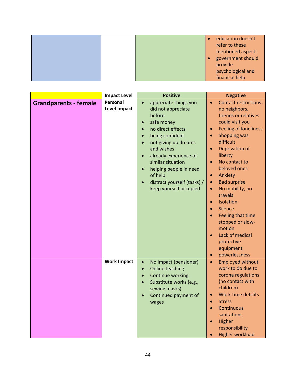|  |  | education doesn't<br>refer to these<br>mentioned aspects |
|--|--|----------------------------------------------------------|
|  |  | government should<br>provide                             |
|  |  | psychological and<br>financial help                      |

|                              | <b>Impact Level</b> | <b>Positive</b>                    | <b>Negative</b>                           |
|------------------------------|---------------------|------------------------------------|-------------------------------------------|
| <b>Grandparents - female</b> | Personal            | appreciate things you<br>$\bullet$ | <b>Contact restrictions:</b><br>$\bullet$ |
|                              | <b>Level Impact</b> | did not appreciate                 | no neighbors,                             |
|                              |                     | before                             | friends or relatives                      |
|                              |                     | safe money<br>$\bullet$            | could visit you                           |
|                              |                     | no direct effects                  | <b>Feeling of loneliness</b><br>$\bullet$ |
|                              |                     | being confident                    | Shopping was<br>$\bullet$                 |
|                              |                     | not giving up dreams               | difficult                                 |
|                              |                     | and wishes                         | Deprivation of<br>$\bullet$               |
|                              |                     | already experience of              | liberty                                   |
|                              |                     | similar situation                  | No contact to<br>$\bullet$                |
|                              |                     | helping people in need             | beloved ones                              |
|                              |                     | of help                            | Anxiety<br>$\bullet$                      |
|                              |                     | distract yourself (tasks) /        | <b>Bad surprise</b><br>$\bullet$          |
|                              |                     | keep yourself occupied             | No mobility, no<br>$\bullet$              |
|                              |                     |                                    | travels                                   |
|                              |                     |                                    | Isolation<br>$\bullet$                    |
|                              |                     |                                    | Silence<br>$\bullet$                      |
|                              |                     |                                    | Feeling that time<br>$\bullet$            |
|                              |                     |                                    | stopped or slow-                          |
|                              |                     |                                    | motion                                    |
|                              |                     |                                    | Lack of medical<br>$\bullet$              |
|                              |                     |                                    | protective                                |
|                              |                     |                                    | equipment                                 |
|                              |                     |                                    | powerlessness<br>$\bullet$                |
|                              | <b>Work Impact</b>  | No impact (pensioner)<br>$\bullet$ | <b>Employed without</b><br>$\bullet$      |
|                              |                     | Online teaching<br>$\bullet$       | work to do due to                         |
|                              |                     | Continue working<br>$\bullet$      | corona regulations                        |
|                              |                     | Substitute works (e.g.,            | (no contact with                          |
|                              |                     | sewing masks)                      | children)                                 |
|                              |                     | Continued payment of               | Work-time deficits<br>$\bullet$           |
|                              |                     | wages                              | <b>Stress</b><br>$\bullet$                |
|                              |                     |                                    | Continuous<br>$\bullet$                   |
|                              |                     |                                    | sanitations                               |
|                              |                     |                                    | Higher<br>$\bullet$                       |
|                              |                     |                                    | responsibility                            |
|                              |                     |                                    | <b>Higher workload</b>                    |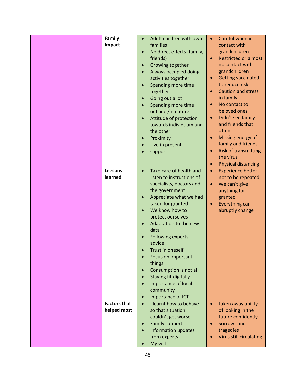| <b>Family</b><br>$\bullet$<br>$\bullet$<br>Impact<br>families<br>contact with<br>grandchildren<br>No direct effects (family,<br>$\bullet$<br>friends)<br><b>Restricted or almost</b><br>$\bullet$<br>no contact with<br>Growing together<br>$\bullet$<br>grandchildren<br>Always occupied doing<br><b>Getting vaccinated</b><br>activities together<br>$\bullet$<br>to reduce risk<br>Spending more time<br>$\bullet$<br><b>Caution and stress</b><br>together<br>in family<br>Going out a lot<br>$\bullet$<br>No contact to<br>Spending more time<br>$\bullet$<br>$\bullet$<br>beloved ones<br>outside /in nature<br>Didn't see family<br>Attitude of protection<br>$\bullet$<br>$\bullet$<br>and friends that<br>towards individuum and<br>often<br>the other<br>Missing energy of<br>Proximity<br>$\bullet$<br>$\bullet$<br>family and friends<br>Live in present<br><b>Risk of transmitting</b><br>$\bullet$<br>support<br>the virus<br><b>Physical distancing</b><br>$\bullet$<br>Take care of health and<br>Leesons<br><b>Experience better</b><br>$\bullet$<br>$\bullet$<br>learned<br>listen to instructions of<br>not to be repeated<br>specialists, doctors and<br>We can't give<br>$\bullet$<br>the government<br>anything for<br>Appreciate what we had<br>granted<br>$\bullet$<br>taken for granted<br>Everything can<br>$\bullet$<br>We know how to<br>abruptly change<br>$\bullet$<br>protect ourselves<br>Adaptation to the new<br>$\bullet$<br>data<br>Following experts'<br>advice<br>Trust in oneself<br>Focus on important<br>things<br>Consumption is not all<br>$\bullet$<br>Staying fit digitally<br>$\bullet$<br><b>Importance of local</b><br>community<br>Importance of ICT<br>$\bullet$<br><b>Factors that</b><br>I learnt how to behave<br>taken away ability<br>$\bullet$<br>$\bullet$<br>helped most<br>so that situation<br>of looking in the<br>couldn't get worse<br>future confidently<br><b>Family support</b><br>Sorrows and<br>$\bullet$ |  | Adult children with own | Careful when in |
|-------------------------------------------------------------------------------------------------------------------------------------------------------------------------------------------------------------------------------------------------------------------------------------------------------------------------------------------------------------------------------------------------------------------------------------------------------------------------------------------------------------------------------------------------------------------------------------------------------------------------------------------------------------------------------------------------------------------------------------------------------------------------------------------------------------------------------------------------------------------------------------------------------------------------------------------------------------------------------------------------------------------------------------------------------------------------------------------------------------------------------------------------------------------------------------------------------------------------------------------------------------------------------------------------------------------------------------------------------------------------------------------------------------------------------------------------------------------------------------------------------------------------------------------------------------------------------------------------------------------------------------------------------------------------------------------------------------------------------------------------------------------------------------------------------------------------------------------------------------------------------------------------------------------------------------------------------------------------------|--|-------------------------|-----------------|
|                                                                                                                                                                                                                                                                                                                                                                                                                                                                                                                                                                                                                                                                                                                                                                                                                                                                                                                                                                                                                                                                                                                                                                                                                                                                                                                                                                                                                                                                                                                                                                                                                                                                                                                                                                                                                                                                                                                                                                               |  |                         |                 |
|                                                                                                                                                                                                                                                                                                                                                                                                                                                                                                                                                                                                                                                                                                                                                                                                                                                                                                                                                                                                                                                                                                                                                                                                                                                                                                                                                                                                                                                                                                                                                                                                                                                                                                                                                                                                                                                                                                                                                                               |  |                         |                 |
|                                                                                                                                                                                                                                                                                                                                                                                                                                                                                                                                                                                                                                                                                                                                                                                                                                                                                                                                                                                                                                                                                                                                                                                                                                                                                                                                                                                                                                                                                                                                                                                                                                                                                                                                                                                                                                                                                                                                                                               |  |                         |                 |
|                                                                                                                                                                                                                                                                                                                                                                                                                                                                                                                                                                                                                                                                                                                                                                                                                                                                                                                                                                                                                                                                                                                                                                                                                                                                                                                                                                                                                                                                                                                                                                                                                                                                                                                                                                                                                                                                                                                                                                               |  |                         |                 |
|                                                                                                                                                                                                                                                                                                                                                                                                                                                                                                                                                                                                                                                                                                                                                                                                                                                                                                                                                                                                                                                                                                                                                                                                                                                                                                                                                                                                                                                                                                                                                                                                                                                                                                                                                                                                                                                                                                                                                                               |  |                         |                 |
|                                                                                                                                                                                                                                                                                                                                                                                                                                                                                                                                                                                                                                                                                                                                                                                                                                                                                                                                                                                                                                                                                                                                                                                                                                                                                                                                                                                                                                                                                                                                                                                                                                                                                                                                                                                                                                                                                                                                                                               |  |                         |                 |
|                                                                                                                                                                                                                                                                                                                                                                                                                                                                                                                                                                                                                                                                                                                                                                                                                                                                                                                                                                                                                                                                                                                                                                                                                                                                                                                                                                                                                                                                                                                                                                                                                                                                                                                                                                                                                                                                                                                                                                               |  |                         |                 |
|                                                                                                                                                                                                                                                                                                                                                                                                                                                                                                                                                                                                                                                                                                                                                                                                                                                                                                                                                                                                                                                                                                                                                                                                                                                                                                                                                                                                                                                                                                                                                                                                                                                                                                                                                                                                                                                                                                                                                                               |  |                         |                 |
|                                                                                                                                                                                                                                                                                                                                                                                                                                                                                                                                                                                                                                                                                                                                                                                                                                                                                                                                                                                                                                                                                                                                                                                                                                                                                                                                                                                                                                                                                                                                                                                                                                                                                                                                                                                                                                                                                                                                                                               |  |                         |                 |
|                                                                                                                                                                                                                                                                                                                                                                                                                                                                                                                                                                                                                                                                                                                                                                                                                                                                                                                                                                                                                                                                                                                                                                                                                                                                                                                                                                                                                                                                                                                                                                                                                                                                                                                                                                                                                                                                                                                                                                               |  |                         |                 |
|                                                                                                                                                                                                                                                                                                                                                                                                                                                                                                                                                                                                                                                                                                                                                                                                                                                                                                                                                                                                                                                                                                                                                                                                                                                                                                                                                                                                                                                                                                                                                                                                                                                                                                                                                                                                                                                                                                                                                                               |  |                         |                 |
|                                                                                                                                                                                                                                                                                                                                                                                                                                                                                                                                                                                                                                                                                                                                                                                                                                                                                                                                                                                                                                                                                                                                                                                                                                                                                                                                                                                                                                                                                                                                                                                                                                                                                                                                                                                                                                                                                                                                                                               |  |                         |                 |
|                                                                                                                                                                                                                                                                                                                                                                                                                                                                                                                                                                                                                                                                                                                                                                                                                                                                                                                                                                                                                                                                                                                                                                                                                                                                                                                                                                                                                                                                                                                                                                                                                                                                                                                                                                                                                                                                                                                                                                               |  |                         |                 |
|                                                                                                                                                                                                                                                                                                                                                                                                                                                                                                                                                                                                                                                                                                                                                                                                                                                                                                                                                                                                                                                                                                                                                                                                                                                                                                                                                                                                                                                                                                                                                                                                                                                                                                                                                                                                                                                                                                                                                                               |  |                         |                 |
|                                                                                                                                                                                                                                                                                                                                                                                                                                                                                                                                                                                                                                                                                                                                                                                                                                                                                                                                                                                                                                                                                                                                                                                                                                                                                                                                                                                                                                                                                                                                                                                                                                                                                                                                                                                                                                                                                                                                                                               |  |                         |                 |
|                                                                                                                                                                                                                                                                                                                                                                                                                                                                                                                                                                                                                                                                                                                                                                                                                                                                                                                                                                                                                                                                                                                                                                                                                                                                                                                                                                                                                                                                                                                                                                                                                                                                                                                                                                                                                                                                                                                                                                               |  |                         |                 |
|                                                                                                                                                                                                                                                                                                                                                                                                                                                                                                                                                                                                                                                                                                                                                                                                                                                                                                                                                                                                                                                                                                                                                                                                                                                                                                                                                                                                                                                                                                                                                                                                                                                                                                                                                                                                                                                                                                                                                                               |  |                         |                 |
|                                                                                                                                                                                                                                                                                                                                                                                                                                                                                                                                                                                                                                                                                                                                                                                                                                                                                                                                                                                                                                                                                                                                                                                                                                                                                                                                                                                                                                                                                                                                                                                                                                                                                                                                                                                                                                                                                                                                                                               |  |                         |                 |
|                                                                                                                                                                                                                                                                                                                                                                                                                                                                                                                                                                                                                                                                                                                                                                                                                                                                                                                                                                                                                                                                                                                                                                                                                                                                                                                                                                                                                                                                                                                                                                                                                                                                                                                                                                                                                                                                                                                                                                               |  |                         |                 |
|                                                                                                                                                                                                                                                                                                                                                                                                                                                                                                                                                                                                                                                                                                                                                                                                                                                                                                                                                                                                                                                                                                                                                                                                                                                                                                                                                                                                                                                                                                                                                                                                                                                                                                                                                                                                                                                                                                                                                                               |  |                         |                 |
|                                                                                                                                                                                                                                                                                                                                                                                                                                                                                                                                                                                                                                                                                                                                                                                                                                                                                                                                                                                                                                                                                                                                                                                                                                                                                                                                                                                                                                                                                                                                                                                                                                                                                                                                                                                                                                                                                                                                                                               |  |                         |                 |
|                                                                                                                                                                                                                                                                                                                                                                                                                                                                                                                                                                                                                                                                                                                                                                                                                                                                                                                                                                                                                                                                                                                                                                                                                                                                                                                                                                                                                                                                                                                                                                                                                                                                                                                                                                                                                                                                                                                                                                               |  |                         |                 |
|                                                                                                                                                                                                                                                                                                                                                                                                                                                                                                                                                                                                                                                                                                                                                                                                                                                                                                                                                                                                                                                                                                                                                                                                                                                                                                                                                                                                                                                                                                                                                                                                                                                                                                                                                                                                                                                                                                                                                                               |  |                         |                 |
|                                                                                                                                                                                                                                                                                                                                                                                                                                                                                                                                                                                                                                                                                                                                                                                                                                                                                                                                                                                                                                                                                                                                                                                                                                                                                                                                                                                                                                                                                                                                                                                                                                                                                                                                                                                                                                                                                                                                                                               |  |                         |                 |
|                                                                                                                                                                                                                                                                                                                                                                                                                                                                                                                                                                                                                                                                                                                                                                                                                                                                                                                                                                                                                                                                                                                                                                                                                                                                                                                                                                                                                                                                                                                                                                                                                                                                                                                                                                                                                                                                                                                                                                               |  |                         |                 |
|                                                                                                                                                                                                                                                                                                                                                                                                                                                                                                                                                                                                                                                                                                                                                                                                                                                                                                                                                                                                                                                                                                                                                                                                                                                                                                                                                                                                                                                                                                                                                                                                                                                                                                                                                                                                                                                                                                                                                                               |  |                         |                 |
|                                                                                                                                                                                                                                                                                                                                                                                                                                                                                                                                                                                                                                                                                                                                                                                                                                                                                                                                                                                                                                                                                                                                                                                                                                                                                                                                                                                                                                                                                                                                                                                                                                                                                                                                                                                                                                                                                                                                                                               |  |                         |                 |
|                                                                                                                                                                                                                                                                                                                                                                                                                                                                                                                                                                                                                                                                                                                                                                                                                                                                                                                                                                                                                                                                                                                                                                                                                                                                                                                                                                                                                                                                                                                                                                                                                                                                                                                                                                                                                                                                                                                                                                               |  |                         |                 |
|                                                                                                                                                                                                                                                                                                                                                                                                                                                                                                                                                                                                                                                                                                                                                                                                                                                                                                                                                                                                                                                                                                                                                                                                                                                                                                                                                                                                                                                                                                                                                                                                                                                                                                                                                                                                                                                                                                                                                                               |  |                         |                 |
|                                                                                                                                                                                                                                                                                                                                                                                                                                                                                                                                                                                                                                                                                                                                                                                                                                                                                                                                                                                                                                                                                                                                                                                                                                                                                                                                                                                                                                                                                                                                                                                                                                                                                                                                                                                                                                                                                                                                                                               |  |                         |                 |
|                                                                                                                                                                                                                                                                                                                                                                                                                                                                                                                                                                                                                                                                                                                                                                                                                                                                                                                                                                                                                                                                                                                                                                                                                                                                                                                                                                                                                                                                                                                                                                                                                                                                                                                                                                                                                                                                                                                                                                               |  |                         |                 |
|                                                                                                                                                                                                                                                                                                                                                                                                                                                                                                                                                                                                                                                                                                                                                                                                                                                                                                                                                                                                                                                                                                                                                                                                                                                                                                                                                                                                                                                                                                                                                                                                                                                                                                                                                                                                                                                                                                                                                                               |  |                         |                 |
|                                                                                                                                                                                                                                                                                                                                                                                                                                                                                                                                                                                                                                                                                                                                                                                                                                                                                                                                                                                                                                                                                                                                                                                                                                                                                                                                                                                                                                                                                                                                                                                                                                                                                                                                                                                                                                                                                                                                                                               |  |                         |                 |
|                                                                                                                                                                                                                                                                                                                                                                                                                                                                                                                                                                                                                                                                                                                                                                                                                                                                                                                                                                                                                                                                                                                                                                                                                                                                                                                                                                                                                                                                                                                                                                                                                                                                                                                                                                                                                                                                                                                                                                               |  |                         |                 |
|                                                                                                                                                                                                                                                                                                                                                                                                                                                                                                                                                                                                                                                                                                                                                                                                                                                                                                                                                                                                                                                                                                                                                                                                                                                                                                                                                                                                                                                                                                                                                                                                                                                                                                                                                                                                                                                                                                                                                                               |  |                         |                 |
|                                                                                                                                                                                                                                                                                                                                                                                                                                                                                                                                                                                                                                                                                                                                                                                                                                                                                                                                                                                                                                                                                                                                                                                                                                                                                                                                                                                                                                                                                                                                                                                                                                                                                                                                                                                                                                                                                                                                                                               |  |                         |                 |
|                                                                                                                                                                                                                                                                                                                                                                                                                                                                                                                                                                                                                                                                                                                                                                                                                                                                                                                                                                                                                                                                                                                                                                                                                                                                                                                                                                                                                                                                                                                                                                                                                                                                                                                                                                                                                                                                                                                                                                               |  |                         |                 |
|                                                                                                                                                                                                                                                                                                                                                                                                                                                                                                                                                                                                                                                                                                                                                                                                                                                                                                                                                                                                                                                                                                                                                                                                                                                                                                                                                                                                                                                                                                                                                                                                                                                                                                                                                                                                                                                                                                                                                                               |  |                         |                 |
|                                                                                                                                                                                                                                                                                                                                                                                                                                                                                                                                                                                                                                                                                                                                                                                                                                                                                                                                                                                                                                                                                                                                                                                                                                                                                                                                                                                                                                                                                                                                                                                                                                                                                                                                                                                                                                                                                                                                                                               |  |                         |                 |
|                                                                                                                                                                                                                                                                                                                                                                                                                                                                                                                                                                                                                                                                                                                                                                                                                                                                                                                                                                                                                                                                                                                                                                                                                                                                                                                                                                                                                                                                                                                                                                                                                                                                                                                                                                                                                                                                                                                                                                               |  |                         |                 |
|                                                                                                                                                                                                                                                                                                                                                                                                                                                                                                                                                                                                                                                                                                                                                                                                                                                                                                                                                                                                                                                                                                                                                                                                                                                                                                                                                                                                                                                                                                                                                                                                                                                                                                                                                                                                                                                                                                                                                                               |  |                         |                 |
|                                                                                                                                                                                                                                                                                                                                                                                                                                                                                                                                                                                                                                                                                                                                                                                                                                                                                                                                                                                                                                                                                                                                                                                                                                                                                                                                                                                                                                                                                                                                                                                                                                                                                                                                                                                                                                                                                                                                                                               |  |                         |                 |
|                                                                                                                                                                                                                                                                                                                                                                                                                                                                                                                                                                                                                                                                                                                                                                                                                                                                                                                                                                                                                                                                                                                                                                                                                                                                                                                                                                                                                                                                                                                                                                                                                                                                                                                                                                                                                                                                                                                                                                               |  |                         |                 |
|                                                                                                                                                                                                                                                                                                                                                                                                                                                                                                                                                                                                                                                                                                                                                                                                                                                                                                                                                                                                                                                                                                                                                                                                                                                                                                                                                                                                                                                                                                                                                                                                                                                                                                                                                                                                                                                                                                                                                                               |  |                         |                 |
|                                                                                                                                                                                                                                                                                                                                                                                                                                                                                                                                                                                                                                                                                                                                                                                                                                                                                                                                                                                                                                                                                                                                                                                                                                                                                                                                                                                                                                                                                                                                                                                                                                                                                                                                                                                                                                                                                                                                                                               |  |                         |                 |
| Information updates<br>tragedies<br>$\bullet$                                                                                                                                                                                                                                                                                                                                                                                                                                                                                                                                                                                                                                                                                                                                                                                                                                                                                                                                                                                                                                                                                                                                                                                                                                                                                                                                                                                                                                                                                                                                                                                                                                                                                                                                                                                                                                                                                                                                 |  |                         |                 |
| from experts<br><b>Virus still circulating</b>                                                                                                                                                                                                                                                                                                                                                                                                                                                                                                                                                                                                                                                                                                                                                                                                                                                                                                                                                                                                                                                                                                                                                                                                                                                                                                                                                                                                                                                                                                                                                                                                                                                                                                                                                                                                                                                                                                                                |  |                         |                 |
| My will                                                                                                                                                                                                                                                                                                                                                                                                                                                                                                                                                                                                                                                                                                                                                                                                                                                                                                                                                                                                                                                                                                                                                                                                                                                                                                                                                                                                                                                                                                                                                                                                                                                                                                                                                                                                                                                                                                                                                                       |  |                         |                 |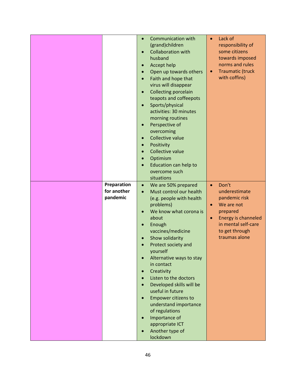|             | $\bullet$ | <b>Communication with</b>                      | $\bullet$ | Lack of                    |
|-------------|-----------|------------------------------------------------|-----------|----------------------------|
|             |           | (grand)children                                |           | responsibility of          |
|             | $\bullet$ | <b>Collaboration with</b>                      |           | some citizens              |
|             |           | husband                                        |           | towards imposed            |
|             | $\bullet$ | Accept help                                    |           | norms and rules            |
|             | $\bullet$ | Open up towards others                         | $\bullet$ | <b>Traumatic (truck</b>    |
|             | $\bullet$ | Faith and hope that                            |           | with coffins)              |
|             |           | virus will disappear                           |           |                            |
|             | $\bullet$ | <b>Collecting porcelain</b>                    |           |                            |
|             |           | teapots and coffeepots                         |           |                            |
|             | $\bullet$ | Sports/physical                                |           |                            |
|             |           | activities: 30 minutes                         |           |                            |
|             |           | morning routines                               |           |                            |
|             | $\bullet$ | Perspective of                                 |           |                            |
|             |           | overcoming                                     |           |                            |
|             | $\bullet$ | Collective value                               |           |                            |
|             | $\bullet$ | Positivity                                     |           |                            |
|             | $\bullet$ | Collective value                               |           |                            |
|             | $\bullet$ | Optimism                                       |           |                            |
|             |           | Education can help to<br>overcome such         |           |                            |
|             |           | situations                                     |           |                            |
| Preparation |           |                                                | $\bullet$ | Don't                      |
| for another | $\bullet$ | We are 50% prepared<br>Must control our health |           | underestimate              |
| pandemic    | $\bullet$ | (e.g. people with health                       |           | pandemic risk              |
|             |           | problems)                                      |           | We are not                 |
|             | $\bullet$ | We know what corona is                         |           | prepared                   |
|             |           | about                                          | $\bullet$ | <b>Energy is channeled</b> |
|             | $\bullet$ | Enough                                         |           | in mental self-care        |
|             |           | vaccines/medicine                              |           | to get through             |
|             | $\bullet$ | Show solidarity                                |           | traumas alone              |
|             |           | Protect society and                            |           |                            |
|             |           | yourself                                       |           |                            |
|             | $\bullet$ | Alternative ways to stay                       |           |                            |
|             |           | in contact                                     |           |                            |
|             | $\bullet$ | Creativity                                     |           |                            |
|             |           | Listen to the doctors                          |           |                            |
|             | $\bullet$ | Developed skills will be                       |           |                            |
|             |           | useful in future                               |           |                            |
|             | $\bullet$ | <b>Empower citizens to</b>                     |           |                            |
|             |           | understand importance                          |           |                            |
|             |           | of regulations                                 |           |                            |
|             | $\bullet$ | Importance of                                  |           |                            |
|             |           | appropriate ICT                                |           |                            |
|             | $\bullet$ | Another type of                                |           |                            |
|             |           | lockdown                                       |           |                            |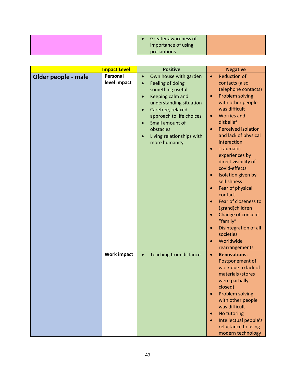|  | Greater awareness of |  |
|--|----------------------|--|
|  | importance of using  |  |
|  | precautions          |  |

|                     | <b>Impact Level</b>      | <b>Positive</b>                                                                                                                                                                                                                                                                                              | <b>Negative</b>                                                                                                                                                                                                                                                                                                                                                                                                                                                                                                                                                                             |
|---------------------|--------------------------|--------------------------------------------------------------------------------------------------------------------------------------------------------------------------------------------------------------------------------------------------------------------------------------------------------------|---------------------------------------------------------------------------------------------------------------------------------------------------------------------------------------------------------------------------------------------------------------------------------------------------------------------------------------------------------------------------------------------------------------------------------------------------------------------------------------------------------------------------------------------------------------------------------------------|
| Older people - male | Personal<br>level impact | Own house with garden<br>$\bullet$<br>Feeling of doing<br>$\bullet$<br>something useful<br>Keeping calm and<br>$\bullet$<br>understanding situation<br>Carefree, relaxed<br>$\bullet$<br>approach to life choices<br>Small amount of<br>obstacles<br>Living relationships with<br>$\bullet$<br>more humanity | <b>Reduction of</b><br>$\bullet$<br>contacts (also<br>telephone contacts)<br>Problem solving<br>$\bullet$<br>with other people<br>was difficult<br><b>Worries and</b><br>$\bullet$<br>disbelief<br><b>Perceived isolation</b><br>$\bullet$<br>and lack of physical<br>interaction<br>Traumatic<br>experiences by<br>direct visibility of<br>covid-effects<br>Isolation given by<br>selfishness<br>Fear of physical<br>$\bullet$<br>contact<br>Fear of closeness to<br>(grand)children<br>Change of concept<br>"family"<br>Disintegration of all<br>societies<br>Worldwide<br>rearrangements |
|                     | <b>Work impact</b>       | <b>Teaching from distance</b><br>$\bullet$                                                                                                                                                                                                                                                                   | <b>Renovations:</b><br>$\bullet$<br>Postponement of<br>work due to lack of<br>materials (stores<br>were partially<br>closed)<br>Problem solving<br>with other people<br>was difficult<br>No tutoring<br>Intellectual people's<br>reluctance to using<br>modern technology                                                                                                                                                                                                                                                                                                                   |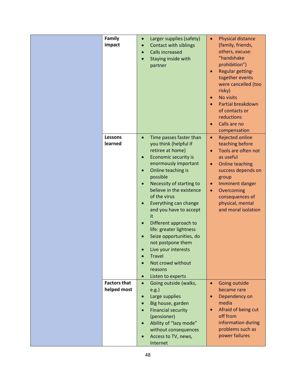| Family              | Larger supplies (safety)<br>$\bullet$ | <b>Physical distance</b><br>$\bullet$ |
|---------------------|---------------------------------------|---------------------------------------|
| impact              | Contact with siblings<br>$\bullet$    | (family, friends,                     |
|                     | <b>Calls increased</b>                | others, excuse:                       |
|                     | $\bullet$                             | "handshake                            |
|                     | Staying inside with                   | prohibition")                         |
|                     | partner                               |                                       |
|                     |                                       | Regular getting-<br>$\bullet$         |
|                     |                                       | together events                       |
|                     |                                       | were cancelled (too                   |
|                     |                                       | risky)                                |
|                     |                                       | No visits<br>$\bullet$                |
|                     |                                       | Partial breakdown<br>$\bullet$        |
|                     |                                       | of contacts or                        |
|                     |                                       | reductions                            |
|                     |                                       | Calls are no                          |
|                     |                                       | compensation                          |
| Lessons             | Time passes faster than<br>$\bullet$  | <b>Rejected online</b><br>$\bullet$   |
| learned             | you think (helpful if                 | teaching before                       |
|                     | retiree at home)                      | Tools are often not<br>$\bullet$      |
|                     | Economic security is<br>$\bullet$     | as useful                             |
|                     | enormously important                  | Online teaching<br>$\bullet$          |
|                     | Online teaching is<br>$\bullet$       | success depends on                    |
|                     | possible                              | group                                 |
|                     | Necessity of starting to<br>$\bullet$ | Imminent danger<br>$\bullet$          |
|                     | believe in the existence              | Overcoming<br>$\bullet$               |
|                     | of the virus                          | consequences of                       |
|                     | Everything can change<br>$\bullet$    | physical, mental                      |
|                     | and you have to accept                | and moral isolation                   |
|                     | it                                    |                                       |
|                     | Different approach to<br>$\bullet$    |                                       |
|                     | life: greater lightness               |                                       |
|                     | Seize opportunities, do               |                                       |
|                     | not postpone them                     |                                       |
|                     |                                       |                                       |
|                     | Live your interests                   |                                       |
|                     | <b>Travel</b><br>$\bullet$            |                                       |
|                     | Not crowd without                     |                                       |
|                     | reasons                               |                                       |
|                     | Listen to experts<br>$\bullet$        |                                       |
| <b>Factors that</b> | Going outside (walks,<br>$\bullet$    | Going outside<br>$\bullet$            |
| helped most         | e.g.                                  | became rare                           |
|                     | Large supplies<br>$\bullet$           | Dependency on<br>$\bullet$            |
|                     | Big house, garden<br>$\bullet$        | media                                 |
|                     | <b>Financial security</b>             | Afraid of being cut<br>$\bullet$      |
|                     | (pensioner)                           | off from                              |
|                     | Ability of "lazy mode"                | information during                    |
|                     | without consequences                  | problems such as                      |
|                     | Access to TV, news,<br>$\bullet$      | power failures                        |
|                     | Internet                              |                                       |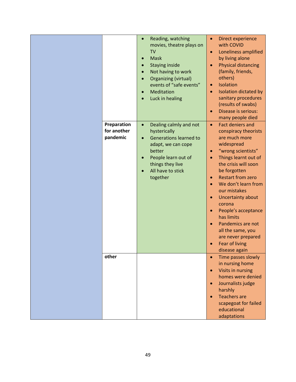| Preparation             | Reading, watching<br>$\bullet$<br>movies, theatre plays on<br><b>TV</b><br><b>Mask</b><br>$\bullet$<br><b>Staying inside</b><br>$\bullet$<br>Not having to work<br>$\bullet$<br>Organizing (virtual)<br>$\bullet$<br>events of "safe events"<br>Meditation<br>$\bullet$<br>Luck in healing<br>$\bullet$<br>Dealing calmly and not<br>$\bullet$ | Direct experience<br>$\bullet$<br>with COVID<br>Loneliness amplified<br>$\bullet$<br>by living alone<br><b>Physical distancing</b><br>(family, friends,<br>others)<br>Isolation<br>$\bullet$<br>Isolation dictated by<br>$\bullet$<br>sanitary procedures<br>(results of swabs)<br>Disease is serious:<br>$\bullet$<br>many people died<br><b>Fact deniers and</b><br>$\bullet$                                                         |
|-------------------------|------------------------------------------------------------------------------------------------------------------------------------------------------------------------------------------------------------------------------------------------------------------------------------------------------------------------------------------------|-----------------------------------------------------------------------------------------------------------------------------------------------------------------------------------------------------------------------------------------------------------------------------------------------------------------------------------------------------------------------------------------------------------------------------------------|
| for another<br>pandemic | hysterically<br><b>Generations learned to</b><br>$\bullet$<br>adapt, we can cope<br>better<br>People learn out of<br>things they live<br>All have to stick<br>together                                                                                                                                                                         | conspiracy theorists<br>are much more<br>widespread<br>"wrong scientists"<br>Things learnt out of<br>$\bullet$<br>the crisis will soon<br>be forgotten<br><b>Restart from zero</b><br>$\bullet$<br>We don't learn from<br>our mistakes<br>Uncertainty about<br>$\bullet$<br>corona<br>People's acceptance<br>has limits<br>Pandemics are not<br>$\bullet$<br>all the same, you<br>are never prepared<br>Fear of living<br>disease again |
| other                   |                                                                                                                                                                                                                                                                                                                                                | Time passes slowly<br>$\bullet$<br>in nursing home<br>Visits in nursing<br>$\bullet$<br>homes were denied<br>Journalists judge<br>$\bullet$<br>harshly<br><b>Teachers are</b><br>scapegoat for failed<br>educational<br>adaptations                                                                                                                                                                                                     |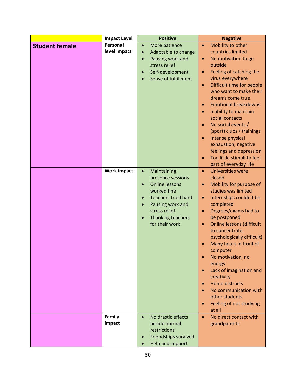|                       | <b>Impact Level</b>                            | <b>Positive</b>                                                                                                                                                                                                                                                                                                                                    | <b>Negative</b>                                                                                                                                                                                                                                                                                                                                                                                                                                                                                                                                                                                                                                                                                                                                                                                                                                                                                                                                        |
|-----------------------|------------------------------------------------|----------------------------------------------------------------------------------------------------------------------------------------------------------------------------------------------------------------------------------------------------------------------------------------------------------------------------------------------------|--------------------------------------------------------------------------------------------------------------------------------------------------------------------------------------------------------------------------------------------------------------------------------------------------------------------------------------------------------------------------------------------------------------------------------------------------------------------------------------------------------------------------------------------------------------------------------------------------------------------------------------------------------------------------------------------------------------------------------------------------------------------------------------------------------------------------------------------------------------------------------------------------------------------------------------------------------|
| <b>Student female</b> | Personal<br>level impact<br><b>Work impact</b> | More patience<br>$\bullet$<br>Adaptable to change<br>Pausing work and<br>$\bullet$<br>stress relief<br>Self-development<br>Sense of fulfillment<br>Maintaining<br>$\bullet$<br>presence sessions<br><b>Online lessons</b><br>worked fine<br><b>Teachers tried hard</b><br>Pausing work and<br>stress relief<br>Thanking teachers<br>for their work | Mobility to other<br>$\bullet$<br>countries limited<br>No motivation to go<br>$\bullet$<br>outside<br>Feeling of catching the<br>virus everywhere<br>Difficult time for people<br>$\bullet$<br>who want to make their<br>dreams come true<br><b>Emotional breakdowns</b><br>Inability to maintain<br>social contacts<br>No social events /<br>(sport) clubs / trainings<br>Intense physical<br>exhaustion, negative<br>feelings and depression<br>Too little stimuli to feel<br>part of everyday life<br>Universities were<br>$\bullet$<br>closed<br>Mobility for purpose of<br>studies was limited<br>Internships couldn't be<br>$\bullet$<br>completed<br>Degrees/exams had to<br>be postponed<br><b>Online lessons (difficult</b><br>$\bullet$<br>to concentrate,<br>psychologically difficult)<br>Many hours in front of<br>computer<br>No motivation, no<br>energy<br>Lack of imagination and<br>$\bullet$<br>creativity<br><b>Home distracts</b> |
|                       | Family<br>impact                               | No drastic effects<br>$\bullet$<br>beside normal<br>restrictions<br>Friendships survived<br>Help and support                                                                                                                                                                                                                                       | No communication with<br>other students<br>Feeling of not studying<br>$\bullet$<br>at all<br>No direct contact with<br>$\bullet$<br>grandparents                                                                                                                                                                                                                                                                                                                                                                                                                                                                                                                                                                                                                                                                                                                                                                                                       |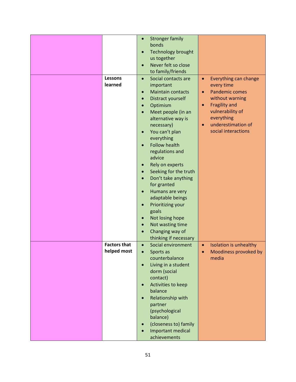|                     | $\bullet$ | <b>Stronger family</b>    |           |                        |
|---------------------|-----------|---------------------------|-----------|------------------------|
|                     |           | bonds                     |           |                        |
|                     | $\bullet$ | <b>Technology brought</b> |           |                        |
|                     |           | us together               |           |                        |
|                     | $\bullet$ | Never felt so close       |           |                        |
|                     |           | to family/friends         |           |                        |
|                     |           |                           |           |                        |
| Lessons             | $\bullet$ | Social contacts are       | $\bullet$ | Everything can change  |
| learned             |           | important                 |           | every time             |
|                     | $\bullet$ | <b>Maintain contacts</b>  | $\bullet$ | <b>Pandemic comes</b>  |
|                     | $\bullet$ | Distract yourself         |           | without warning        |
|                     | $\bullet$ | Optimism                  | $\bullet$ | <b>Fragility and</b>   |
|                     |           | Meet people (in an        |           | vulnerability of       |
|                     |           | alternative way is        |           | everything             |
|                     |           | necessary)                | $\bullet$ | underestimation of     |
|                     |           |                           |           | social interactions    |
|                     | $\bullet$ | You can't plan            |           |                        |
|                     |           | everything                |           |                        |
|                     | $\bullet$ | <b>Follow health</b>      |           |                        |
|                     |           | regulations and           |           |                        |
|                     |           | advice                    |           |                        |
|                     | $\bullet$ | Rely on experts           |           |                        |
|                     | $\bullet$ | Seeking for the truth     |           |                        |
|                     | $\bullet$ | Don't take anything       |           |                        |
|                     |           | for granted               |           |                        |
|                     | $\bullet$ | Humans are very           |           |                        |
|                     |           |                           |           |                        |
|                     |           | adaptable beings          |           |                        |
|                     | $\bullet$ | Prioritizing your         |           |                        |
|                     |           | goals                     |           |                        |
|                     | $\bullet$ | Not losing hope           |           |                        |
|                     | $\bullet$ | Not wasting time          |           |                        |
|                     |           | Changing way of           |           |                        |
|                     |           | thinking if necessary     |           |                        |
| <b>Factors that</b> | $\bullet$ | Social environment        | $\bullet$ | Isolation is unhealthy |
| helped most         |           | Sports as                 |           | Moodiness provoked by  |
|                     |           | counterbalance            |           | media                  |
|                     | $\bullet$ | Living in a student       |           |                        |
|                     |           |                           |           |                        |
|                     |           | dorm (social              |           |                        |
|                     |           | contact)                  |           |                        |
|                     | $\bullet$ | Activities to keep        |           |                        |
|                     |           | balance                   |           |                        |
|                     | $\bullet$ | Relationship with         |           |                        |
|                     |           | partner                   |           |                        |
|                     |           | (psychological            |           |                        |
|                     |           | balance)                  |           |                        |
|                     | $\bullet$ | (closeness to) family     |           |                        |
|                     |           | Important medical         |           |                        |
|                     |           | achievements              |           |                        |
|                     |           |                           |           |                        |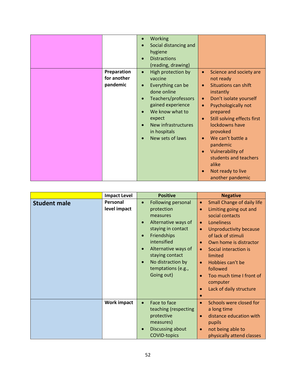|          | Working<br>Social distancing and<br>hygiene<br><b>Distractions</b><br>$\bullet$ |                                                                         |
|----------|---------------------------------------------------------------------------------|-------------------------------------------------------------------------|
|          | (reading, drawing)                                                              |                                                                         |
|          | Preparation<br>High protection by<br>$\bullet$<br>for another<br>vaccine        | Science and society are<br>$\bullet$<br>not ready                       |
| pandemic | Everything can be<br>$\bullet$<br>done online                                   | Situations can shift<br>instantly                                       |
|          | Teachers/professors<br>$\bullet$<br>gained experience                           | Don't isolate yourself<br>$\bullet$<br>Psychologically not<br>$\bullet$ |
|          | We know what to                                                                 | prepared                                                                |
|          | expect<br>New infrastructures<br>$\bullet$<br>in hospitals                      | Still solving effects first<br>$\bullet$<br>lockdowns have<br>provoked  |
|          | New sets of laws                                                                | We can't battle a<br>pandemic                                           |
|          |                                                                                 | <b>Vulnerability of</b><br>$\bullet$<br>students and teachers           |
|          |                                                                                 | alike<br>Not ready to live<br>another pandemic                          |

|                     | <b>Impact Level</b>             | <b>Positive</b>                                                                                                                                                                                                                         | <b>Negative</b>                                                                                                                                                                                                                                                                                                                                                                                                |
|---------------------|---------------------------------|-----------------------------------------------------------------------------------------------------------------------------------------------------------------------------------------------------------------------------------------|----------------------------------------------------------------------------------------------------------------------------------------------------------------------------------------------------------------------------------------------------------------------------------------------------------------------------------------------------------------------------------------------------------------|
| <b>Student male</b> | <b>Personal</b><br>level impact | Following personal<br>$\bullet$<br>protection<br>measures<br>Alternative ways of<br>staying in contact<br>Friendships<br>intensified<br>Alternative ways of<br>staying contact<br>No distraction by<br>temptations (e.g.,<br>Going out) | Small Change of daily life<br>$\bullet$<br>Limiting going out and<br>$\bullet$<br>social contacts<br>Loneliness<br>$\bullet$<br>Unproductivity because<br>$\bullet$<br>of lack of stimuli<br>Own home is distractor<br>$\bullet$<br>Social interaction is<br>$\bullet$<br>limited<br>Hobbies can't be<br>$\bullet$<br>followed<br>Too much time I front of<br>computer<br>Lack of daily structure<br>$\bullet$ |
|                     | <b>Work impact</b>              | Face to face<br>$\bullet$<br>teaching (respecting<br>protective<br>measures)<br>Discussing about<br><b>COVID-topics</b>                                                                                                                 | Schools were closed for<br>$\bullet$<br>a long time<br>distance education with<br>$\bullet$<br>pupils<br>not being able to<br>$\bullet$<br>physically attend classes                                                                                                                                                                                                                                           |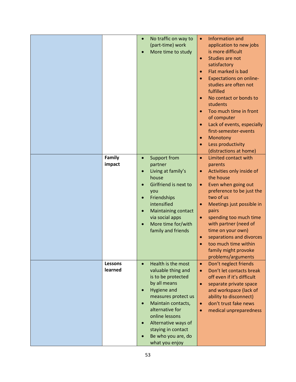|                | $\bullet$ | No traffic on way to       | $\bullet$ | Information and                |
|----------------|-----------|----------------------------|-----------|--------------------------------|
|                |           | (part-time) work           |           | application to new jobs        |
|                |           | More time to study         |           | is more difficult              |
|                |           |                            | $\bullet$ | Studies are not                |
|                |           |                            |           | satisfactory                   |
|                |           |                            | $\bullet$ | Flat marked is bad             |
|                |           |                            | $\bullet$ | <b>Expectations on online-</b> |
|                |           |                            |           | studies are often not          |
|                |           |                            |           | fulfilled                      |
|                |           |                            | $\bullet$ | No contact or bonds to         |
|                |           |                            |           | students                       |
|                |           |                            | $\bullet$ | Too much time in front         |
|                |           |                            |           | of computer                    |
|                |           |                            | $\bullet$ | Lack of events, especially     |
|                |           |                            |           | first-semester-events          |
|                |           |                            |           | Monotony                       |
|                |           |                            | $\bullet$ | Less productivity              |
|                |           |                            | $\bullet$ |                                |
|                |           |                            |           | (distractions at home)         |
| Family         | $\bullet$ | Support from               | $\bullet$ | Limited contact with           |
| impact         |           | partner                    |           | parents                        |
|                | $\bullet$ | Living at family's         | $\bullet$ | Activities only inside of      |
|                |           | house                      |           | the house                      |
|                |           | Girlfriend is next to      | $\bullet$ | Even when going out            |
|                |           | you                        |           | preference to be just the      |
|                |           | Friendships                |           | two of us                      |
|                |           | intensified                | $\bullet$ | Meetings just possible in      |
|                | $\bullet$ | <b>Maintaining contact</b> |           | pairs                          |
|                |           | via social apps            | $\bullet$ | spending too much time         |
|                |           | More time for/with         |           | with partner (need of          |
|                |           | family and friends         |           | time on your own)              |
|                |           |                            | $\bullet$ | separations and divorces       |
|                |           |                            |           | too much time within           |
|                |           |                            |           | family might provoke           |
|                |           |                            |           | problems/arguments             |
| <b>Lessons</b> | $\bullet$ | Health is the most         | $\bullet$ | Don't neglect friends          |
| learned        |           | valuable thing and         | $\bullet$ | Don't let contacts break       |
|                |           | is to be protected         |           | off even if it's difficult     |
|                |           | by all means               | $\bullet$ | separate private space         |
|                |           | Hygiene and                |           | and workspace (lack of         |
|                |           | measures protect us        |           | ability to disconnect)         |
|                |           | Maintain contacts,         | $\bullet$ | don't trust fake news          |
|                |           | alternative for            | $\bullet$ | medical unpreparedness         |
|                |           | online lessons             |           |                                |
|                |           | Alternative ways of        |           |                                |
|                |           | staying in contact         |           |                                |
|                |           | Be who you are, do         |           |                                |
|                |           | what you enjoy             |           |                                |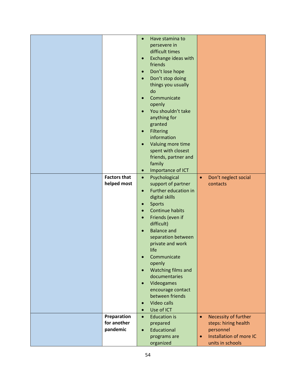|                     | $\bullet$ | Have stamina to      |           |                         |
|---------------------|-----------|----------------------|-----------|-------------------------|
|                     |           | persevere in         |           |                         |
|                     |           | difficult times      |           |                         |
|                     | $\bullet$ | Exchange ideas with  |           |                         |
|                     |           | friends              |           |                         |
|                     |           |                      |           |                         |
|                     | $\bullet$ | Don't lose hope      |           |                         |
|                     | $\bullet$ | Don't stop doing     |           |                         |
|                     |           | things you usually   |           |                         |
|                     |           | do                   |           |                         |
|                     | $\bullet$ | Communicate          |           |                         |
|                     |           | openly               |           |                         |
|                     | $\bullet$ | You shouldn't take   |           |                         |
|                     |           | anything for         |           |                         |
|                     |           |                      |           |                         |
|                     |           | granted              |           |                         |
|                     | $\bullet$ | <b>Filtering</b>     |           |                         |
|                     |           | information          |           |                         |
|                     | $\bullet$ | Valuing more time    |           |                         |
|                     |           | spent with closest   |           |                         |
|                     |           | friends, partner and |           |                         |
|                     |           | family               |           |                         |
|                     | $\bullet$ | Importance of ICT    |           |                         |
|                     |           |                      |           |                         |
| <b>Factors that</b> | $\bullet$ | Psychological        | $\bullet$ | Don't neglect social    |
| helped most         |           | support of partner   |           | contacts                |
|                     | $\bullet$ | Further education in |           |                         |
|                     |           | digital skills       |           |                         |
|                     | $\bullet$ | <b>Sports</b>        |           |                         |
|                     | $\bullet$ | Continue habits      |           |                         |
|                     | $\bullet$ | Friends (even if     |           |                         |
|                     |           | difficult)           |           |                         |
|                     |           | <b>Balance and</b>   |           |                         |
|                     |           |                      |           |                         |
|                     |           | separation between   |           |                         |
|                     |           | private and work     |           |                         |
|                     |           | life                 |           |                         |
|                     | $\bullet$ | Communicate          |           |                         |
|                     |           | openly               |           |                         |
|                     | $\bullet$ | Watching films and   |           |                         |
|                     |           | documentaries        |           |                         |
|                     | $\bullet$ | Videogames           |           |                         |
|                     |           | encourage contact    |           |                         |
|                     |           | between friends      |           |                         |
|                     | $\bullet$ | Video calls          |           |                         |
|                     | $\bullet$ | Use of ICT           |           |                         |
|                     |           |                      |           |                         |
| Preparation         | $\bullet$ | <b>Education is</b>  | $\bullet$ | Necessity of further    |
| for another         |           | prepared             |           | steps: hiring health    |
| pandemic            | $\bullet$ | Educational          |           | personnel               |
|                     |           | programs are         | $\bullet$ | Installation of more IC |
|                     |           | organized            |           | units in schools        |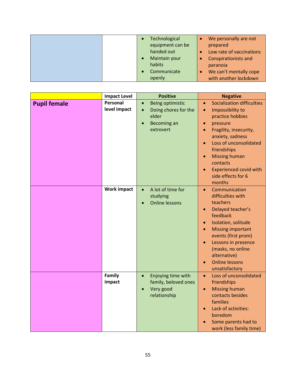|  | Technological    | We personally are not       |
|--|------------------|-----------------------------|
|  | equipment can be | prepared                    |
|  | handed out       | Low rate of vaccinations    |
|  | Maintain your    | <b>Conspirationists and</b> |
|  | habits           | paranoia                    |
|  | Communicate      | We can't mentally cope      |
|  | openly           | with another lockdown       |

|                     | <b>Impact Level</b> | <b>Positive</b>                   | <b>Negative</b>                                                  |
|---------------------|---------------------|-----------------------------------|------------------------------------------------------------------|
| <b>Pupil female</b> | Personal            | Being optimistic<br>$\bullet$     | <b>Socialization difficulties</b><br>$\bullet$                   |
|                     | level impact        | Doing chores for the<br>$\bullet$ | Impossibility to<br>$\bullet$                                    |
|                     |                     | elder                             | practice hobbies                                                 |
|                     |                     | <b>Becoming an</b>                | pressure<br>$\bullet$                                            |
|                     |                     | extrovert                         | Fragility, insecurity,<br>$\bullet$                              |
|                     |                     |                                   | anxiety, sadness                                                 |
|                     |                     |                                   | Loss of unconsolidated<br>$\bullet$                              |
|                     |                     |                                   | friendships                                                      |
|                     |                     |                                   | <b>Missing human</b><br>$\bullet$                                |
|                     |                     |                                   | contacts                                                         |
|                     |                     |                                   | <b>Experienced covid with</b><br>$\bullet$<br>side effects for 6 |
|                     |                     |                                   | months                                                           |
|                     | <b>Work impact</b>  | A lot of time for<br>$\bullet$    | Communication<br>$\bullet$                                       |
|                     |                     | studying                          | difficulties with                                                |
|                     |                     | <b>Online lessons</b>             | teachers                                                         |
|                     |                     |                                   | Delayed teacher's<br>$\bullet$                                   |
|                     |                     |                                   | feedback                                                         |
|                     |                     |                                   | Isolation, solitude<br>$\bullet$                                 |
|                     |                     |                                   | <b>Missing important</b><br>$\bullet$                            |
|                     |                     |                                   | events (first prom)                                              |
|                     |                     |                                   | Lessons in presence<br>$\bullet$                                 |
|                     |                     |                                   | (masks, no online                                                |
|                     |                     |                                   | alternative)                                                     |
|                     |                     |                                   | <b>Online lessons</b><br>$\bullet$                               |
|                     |                     |                                   | unsatisfactory                                                   |
|                     | Family              | Enjoying time with<br>$\bullet$   | Loss of unconsolidated<br>$\bullet$                              |
|                     | impact              | family, beloved ones              | friendships                                                      |
|                     |                     | Very good<br>$\bullet$            | <b>Missing human</b><br>$\bullet$                                |
|                     |                     | relationship                      | contacts besides                                                 |
|                     |                     |                                   | families<br>Lack of activities:                                  |
|                     |                     |                                   | $\bullet$<br>boredom                                             |
|                     |                     |                                   | Some parents had to                                              |
|                     |                     |                                   | work (less family time)                                          |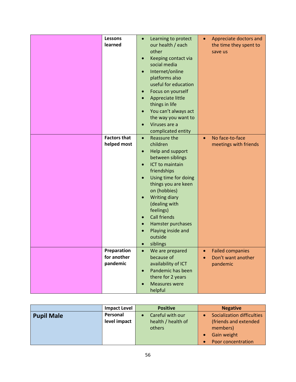| <b>Lessons</b>      |           | Learning to protect  |           | Appreciate doctors and  |
|---------------------|-----------|----------------------|-----------|-------------------------|
| learned             |           | our health / each    |           | the time they spent to  |
|                     |           | other                |           | save us                 |
|                     |           | Keeping contact via  |           |                         |
|                     |           | social media         |           |                         |
|                     |           | Internet/online      |           |                         |
|                     |           |                      |           |                         |
|                     |           | platforms also       |           |                         |
|                     |           | useful for education |           |                         |
|                     |           | Focus on yourself    |           |                         |
|                     |           | Appreciate little    |           |                         |
|                     |           | things in life       |           |                         |
|                     |           | You can't always act |           |                         |
|                     |           | the way you want to  |           |                         |
|                     |           | Viruses are a        |           |                         |
|                     |           | complicated entity   |           |                         |
| <b>Factors that</b> | $\bullet$ | Reassure the         | $\bullet$ | No face-to-face         |
| helped most         |           | children             |           | meetings with friends   |
|                     | $\bullet$ | Help and support     |           |                         |
|                     |           | between siblings     |           |                         |
|                     |           | ICT to maintain      |           |                         |
|                     |           |                      |           |                         |
|                     |           | friendships          |           |                         |
|                     |           | Using time for doing |           |                         |
|                     |           | things you are keen  |           |                         |
|                     |           | on (hobbies)         |           |                         |
|                     |           | <b>Writing diary</b> |           |                         |
|                     |           | (dealing with        |           |                         |
|                     |           | feelings)            |           |                         |
|                     |           | <b>Call friends</b>  |           |                         |
|                     |           | Hamster purchases    |           |                         |
|                     |           | Playing inside and   |           |                         |
|                     |           | outside              |           |                         |
|                     |           | siblings             |           |                         |
| Preparation         |           | We are prepared      |           | <b>Failed companies</b> |
| for another         |           | because of           |           | Don't want another      |
| pandemic            |           | availability of ICT  |           | pandemic                |
|                     | $\bullet$ | Pandemic has been    |           |                         |
|                     |           | there for 2 years    |           |                         |
|                     |           | <b>Measures were</b> |           |                         |
|                     |           | helpful              |           |                         |
|                     |           |                      |           |                         |

|                   | <b>Impact Level</b> | <b>Positive</b>    | <b>Negative</b>                   |
|-------------------|---------------------|--------------------|-----------------------------------|
| <b>Pupil Male</b> | Personal            | Careful with our   | <b>Socialization difficulties</b> |
|                   | level impact        | health / health of | (friends and extended             |
|                   |                     | others             | members)                          |
|                   |                     |                    | Gain weight                       |
|                   |                     |                    | Poor concentration                |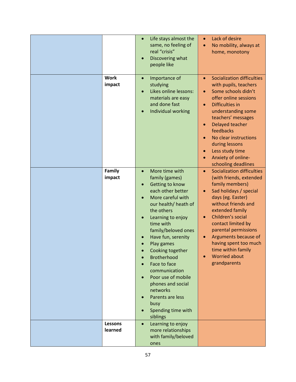|                       | Life stays almost the<br>$\bullet$<br>same, no feeling of<br>real "crisis"<br>Discovering what<br>people like                                                                                                                                                                                                                                                                                                                                 | Lack of desire<br>$\bullet$<br>No mobility, always at<br>$\bullet$<br>home, monotony                                                                                                                                                                                                                                                                                                 |
|-----------------------|-----------------------------------------------------------------------------------------------------------------------------------------------------------------------------------------------------------------------------------------------------------------------------------------------------------------------------------------------------------------------------------------------------------------------------------------------|--------------------------------------------------------------------------------------------------------------------------------------------------------------------------------------------------------------------------------------------------------------------------------------------------------------------------------------------------------------------------------------|
| <b>Work</b><br>impact | Importance of<br>$\bullet$<br>studying<br>Likes online lessons:<br>materials are easy<br>and done fast<br><b>Individual working</b>                                                                                                                                                                                                                                                                                                           | <b>Socialization difficulties</b><br>$\bullet$<br>with pupils, teachers<br>Some schools didn't<br>offer online sessions<br><b>Difficulties in</b><br>$\bullet$<br>understanding some<br>teachers' messages<br>Delayed teacher<br>$\bullet$<br>feedbacks<br>No clear instructions<br>during lessons<br>Less study time<br>$\bullet$<br>Anxiety of online-<br>schooling deadlines      |
| Family<br>impact      | More time with<br>$\bullet$<br>family (games)<br>Getting to know<br>each other better<br>More careful with<br>our health/ heath of<br>the others<br>Learning to enjoy<br>time with<br>family/beloved ones<br>Have fun, serenity<br>Play games<br>Cooking together<br><b>Brotherhood</b><br>Face to face<br>communication<br>Poor use of mobile<br>phones and social<br>networks<br>Parents are less<br>busy<br>Spending time with<br>siblings | <b>Socialization difficulties</b><br>$\bullet$<br>(with friends, extended<br>family members)<br>Sad holidays / special<br>days (eg. Easter)<br>without friends and<br>extended family<br>Children's social<br>$\bullet$<br>contact limited by<br>parental permissions<br>Arguments because of<br>having spent too much<br>time within family<br><b>Worried about</b><br>grandparents |
| Lessons<br>learned    | Learning to enjoy<br>$\bullet$<br>more relationships<br>with family/beloved<br>ones                                                                                                                                                                                                                                                                                                                                                           |                                                                                                                                                                                                                                                                                                                                                                                      |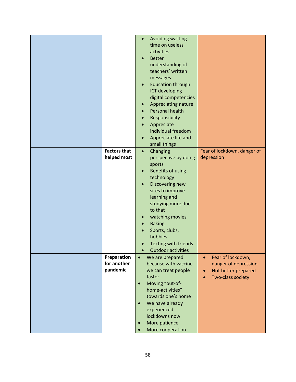| <b>Factors that</b>                    | Avoiding wasting<br>$\bullet$<br>time on useless<br>activities<br><b>Better</b><br>$\bullet$<br>understanding of<br>teachers' written<br>messages<br><b>Education through</b><br>$\bullet$<br>ICT developing<br>digital competencies<br>Appreciating nature<br>$\bullet$<br>Personal health<br>Responsibility<br>Appreciate<br>individual freedom<br>Appreciate life and<br>small things<br>Changing<br>$\bullet$ | Fear of lockdown, danger of                                                                                     |
|----------------------------------------|-------------------------------------------------------------------------------------------------------------------------------------------------------------------------------------------------------------------------------------------------------------------------------------------------------------------------------------------------------------------------------------------------------------------|-----------------------------------------------------------------------------------------------------------------|
| helped most                            | perspective by doing<br>sports<br>Benefits of using<br>technology<br>Discovering new<br>$\bullet$<br>sites to improve<br>learning and<br>studying more due<br>to that<br>watching movies<br>$\bullet$<br><b>Baking</b><br>Sports, clubs,<br>hobbies<br><b>Texting with friends</b><br>Outdoor activities                                                                                                          | depression                                                                                                      |
| Preparation<br>for another<br>pandemic | We are prepared<br>$\bullet$<br>because with vaccine<br>we can treat people<br>faster<br>Moving "out-of-<br>$\bullet$<br>home-activities"<br>towards one's home<br>We have already<br>$\bullet$<br>experienced<br>lockdowns now<br>More patience<br>$\bullet$<br>More cooperation                                                                                                                                 | Fear of lockdown,<br>$\bullet$<br>danger of depression<br>Not better prepared<br>$\bullet$<br>Two-class society |